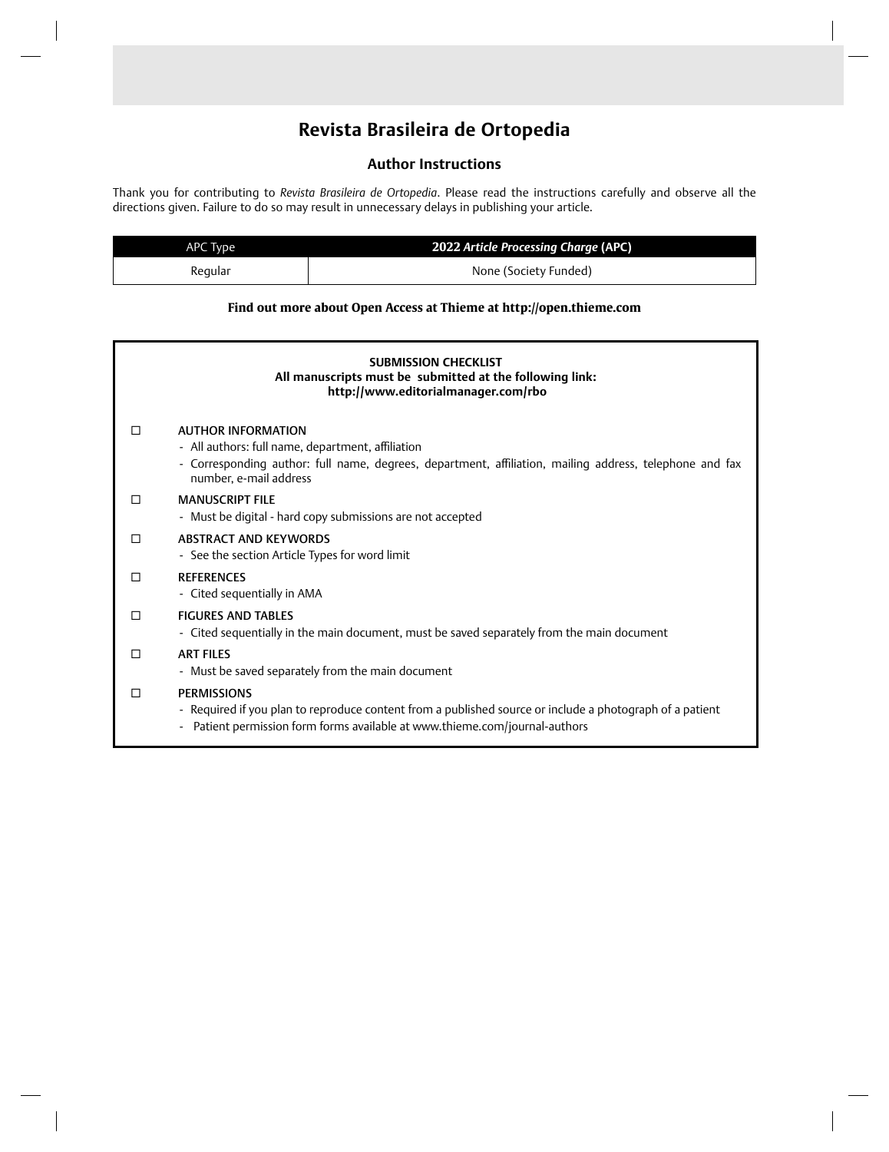# **Revista Brasileira de Ortopedia**

# **Author Instructions**

Thank you for contributing to *Revista Brasileira de Ortopedia*. Please read the instructions carefully and observe all the directions given. Failure to do so may result in unnecessary delays in publishing your article.

| APC Type | 2022 Article Processing Charge (APC) |  |  |
|----------|--------------------------------------|--|--|
| Regular  | None (Society Funded)                |  |  |

# **Find out more about Open Access at Thieme at http://open.thieme.com**

| <b>SUBMISSION CHECKLIST</b><br>All manuscripts must be submitted at the following link:<br>http://www.editorialmanager.com/rbo |                                                                                                                                                                                                                     |  |  |
|--------------------------------------------------------------------------------------------------------------------------------|---------------------------------------------------------------------------------------------------------------------------------------------------------------------------------------------------------------------|--|--|
|                                                                                                                                | <b>AUTHOR INFORMATION</b><br>- All authors: full name, department, affiliation<br>- Corresponding author: full name, degrees, department, affiliation, mailing address, telephone and fax<br>number, e-mail address |  |  |
| П                                                                                                                              | <b>MANUSCRIPT FILF</b><br>- Must be digital - hard copy submissions are not accepted                                                                                                                                |  |  |
| П                                                                                                                              | ABSTRACT AND KEYWORDS<br>- See the section Article Types for word limit                                                                                                                                             |  |  |
| П                                                                                                                              | <b>REFERENCES</b><br>- Cited sequentially in AMA                                                                                                                                                                    |  |  |
| П                                                                                                                              | <b>FIGURES AND TABLES</b><br>- Cited sequentially in the main document, must be saved separately from the main document                                                                                             |  |  |
| П                                                                                                                              | <b>ART FILES</b><br>- Must be saved separately from the main document                                                                                                                                               |  |  |
| П                                                                                                                              | <b>PERMISSIONS</b><br>- Required if you plan to reproduce content from a published source or include a photograph of a patient<br>Patient permission form forms available at www.thieme.com/journal-authors         |  |  |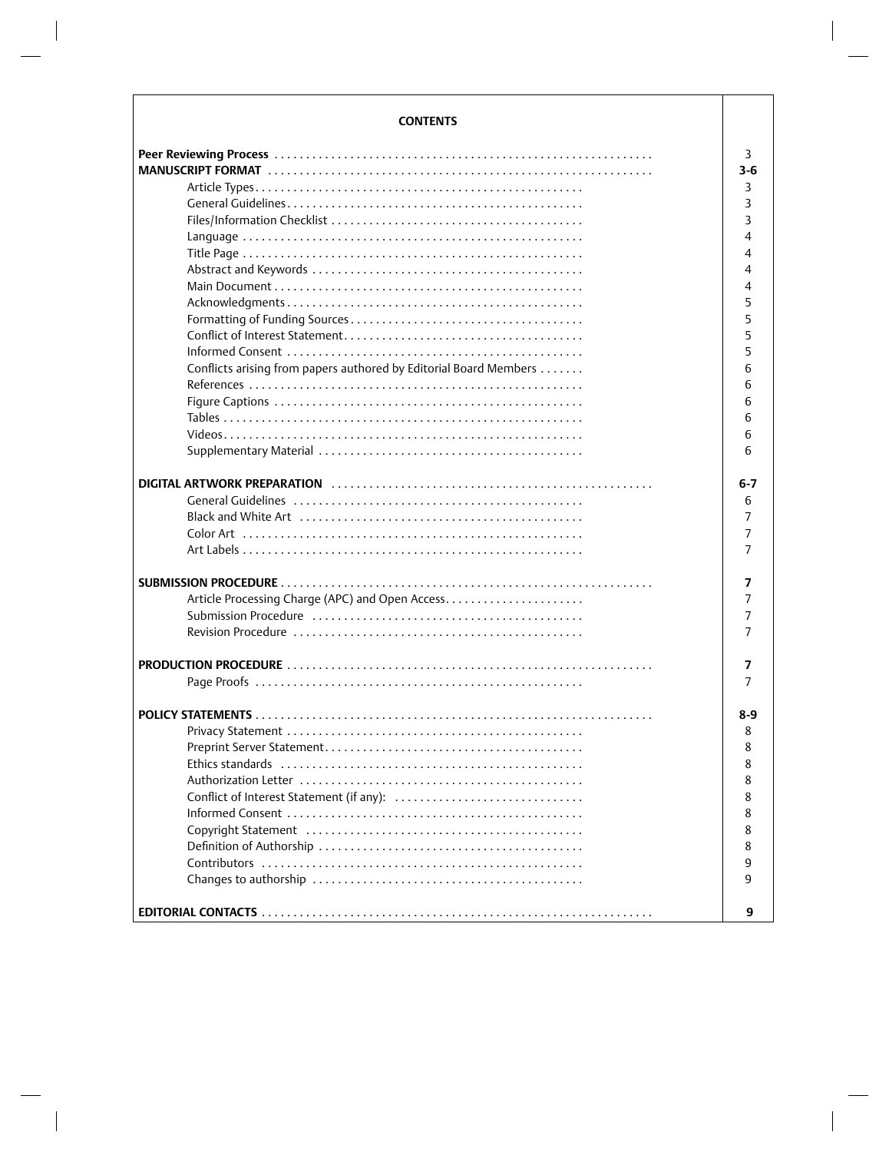| <b>CONTENTS</b>                                                                                             |         |
|-------------------------------------------------------------------------------------------------------------|---------|
|                                                                                                             | 3       |
|                                                                                                             | 3-6     |
|                                                                                                             | 3       |
|                                                                                                             | 3       |
|                                                                                                             | 3       |
|                                                                                                             | 4       |
|                                                                                                             | 4       |
|                                                                                                             | 4       |
|                                                                                                             | 4       |
|                                                                                                             | 5       |
|                                                                                                             | 5       |
|                                                                                                             |         |
|                                                                                                             | 5       |
|                                                                                                             | 5       |
| Conflicts arising from papers authored by Editorial Board Members                                           | 6       |
|                                                                                                             | 6       |
|                                                                                                             | 6       |
|                                                                                                             | 6       |
|                                                                                                             | 6       |
|                                                                                                             | 6       |
|                                                                                                             |         |
|                                                                                                             | $6 - 7$ |
|                                                                                                             | 6       |
| Black and White Art $\dots\dots\dots\dots\dots\dots\dots\dots\dots\dots\dots\dots\dots\dots\dots\dots\dots$ | 7       |
|                                                                                                             | 7       |
|                                                                                                             | 7       |
|                                                                                                             | 7       |
| Article Processing Charge (APC) and Open Access                                                             | 7       |
|                                                                                                             | 7       |
|                                                                                                             | 7       |
|                                                                                                             |         |
|                                                                                                             | 7       |
|                                                                                                             |         |
|                                                                                                             |         |
|                                                                                                             | 8-9     |
|                                                                                                             | 8       |
|                                                                                                             | 8       |
|                                                                                                             | 8       |
|                                                                                                             | 8       |
| Conflict of Interest Statement (if any):                                                                    | 8       |
|                                                                                                             | 8       |
|                                                                                                             | 8       |
|                                                                                                             | 8       |
|                                                                                                             | 9       |
|                                                                                                             | 9       |
|                                                                                                             |         |
|                                                                                                             | 9       |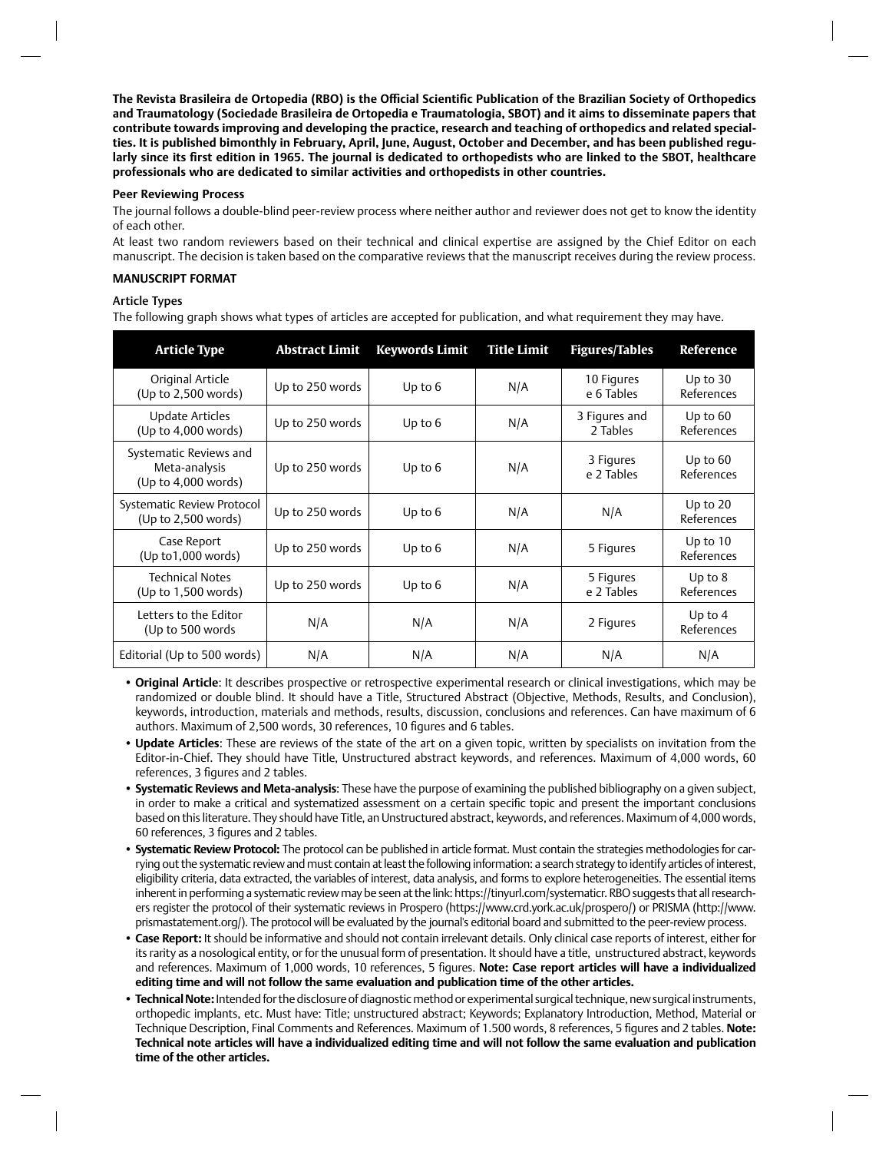**The Revista Brasileira de Ortopedia (RBO) is the Offi cial Scientifi c Publication of the Brazilian Society of Orthopedics and Traumatology (Sociedade Brasileira de Ortopedia e Traumatologia, SBOT) and it aims to disseminate papers that contribute towards improving and developing the practice, research and teaching of orthopedics and related specialties. It is published bimonthly in February, April, June, August, October and December, and has been published regu**larly since its first edition in 1965. The journal is dedicated to orthopedists who are linked to the SBOT, healthcare **professionals who are dedicated to similar activities and orthopedists in other countries.**

#### **Peer Reviewing Process**

The journal follows a double-blind peer-review process where neither author and reviewer does not get to know the identity of each other.

At least two random reviewers based on their technical and clinical expertise are assigned by the Chief Editor on each manuscript. The decision is taken based on the comparative reviews that the manuscript receives during the review process.

#### **MANUSCRIPT FORMAT**

# Article Types

The following graph shows what types of articles are accepted for publication, and what requirement they may have.

| <b>Article Type</b>                                            | <b>Abstract Limit</b> | <b>Keywords Limit</b> | <b>Title Limit</b> | <b>Figures/Tables</b>     | Reference                |
|----------------------------------------------------------------|-----------------------|-----------------------|--------------------|---------------------------|--------------------------|
| Original Article<br>(Up to 2,500 words)                        | Up to 250 words       | Up to $6$             | N/A                | 10 Figures<br>e 6 Tables  | Up to $30$<br>References |
| Update Articles<br>(Up to 4,000 words)                         | Up to 250 words       | Up to $6$             | N/A                | 3 Figures and<br>2 Tables | Up to $60$<br>References |
| Systematic Reviews and<br>Meta-analysis<br>(Up to 4,000 words) | Up to 250 words       | Up to 6               | N/A                | 3 Figures<br>e 2 Tables   | Up to $60$<br>References |
| Systematic Review Protocol<br>(Up to 2,500 words)              | Up to 250 words       | Up to $6$             | N/A                | N/A                       | Up to $20$<br>References |
| Case Report<br>$(Up \text{ to } 1,000 \text{ words})$          | Up to 250 words       | Up to $6$             | N/A                | 5 Figures                 | Up to $10$<br>References |
| <b>Technical Notes</b><br>(Up to 1,500 words)                  | Up to 250 words       | Up to 6               | N/A                | 5 Figures<br>e 2 Tables   | Up to $8$<br>References  |
| Letters to the Editor<br>(Up to 500 words)                     | N/A                   | N/A                   | N/A                | 2 Figures                 | Up to $4$<br>References  |
| Editorial (Up to 500 words)                                    | N/A                   | N/A                   | N/A                | N/A                       | N/A                      |

• **Original Article**: It describes prospective or retrospective experimental research or clinical investigations, which may be randomized or double blind. It should have a Title, Structured Abstract (Objective, Methods, Results, and Conclusion), keywords, introduction, materials and methods, results, discussion, conclusions and references. Can have maximum of 6 authors. Maximum of 2,500 words, 30 references, 10 figures and 6 tables.

- **Update Articles**: These are reviews of the state of the art on a given topic, written by specialists on invitation from the Editor-in-Chief. They should have Title, Unstructured abstract keywords, and references. Maximum of 4,000 words, 60 references, 3 figures and 2 tables.
- **Systematic Reviews and Meta-analysis**: These have the purpose of examining the published bibliography on a given subject, in order to make a critical and systematized assessment on a certain specific topic and present the important conclusions based on this literature. They should have Title, an Unstructured abstract, keywords, and references. Maximum of 4,000 words, 60 references, 3 figures and 2 tables.
- **Systematic Review Protocol:** The protocol can be published in article format. Must contain the strategies methodologies for carrying out the systematic review and must contain at least the following information: a search strategy to identify articles of interest, eligibility criteria, data extracted, the variables of interest, data analysis, and forms to explore heterogeneities. The essential items inherent in performing a systematic review may be seen at the link: https://tinyurl.com/systematicr. RBO suggests that all researchers register the protocol of their systematic reviews in Prospero (https://www.crd.york.ac.uk/prospero/) or PRISMA (http://www. prismastatement.org/). The protocol will be evaluated by the journal's editorial board and submitted to the peer-review process.
- **Case Report:** It should be informative and should not contain irrelevant details. Only clinical case reports of interest, either for its rarity as a nosological entity, or for the unusual form of presentation. It should have a title, unstructured abstract, keywords and references. Maximum of 1,000 words, 10 references, 5 figures. Note: Case report articles will have a individualized **editing time and will not follow the same evaluation and publication time of the other articles.**
- **Technical Note:** Intended for the disclosure of diagnostic method or experimental surgical technique, new surgical instruments, orthopedic implants, etc. Must have: Title; unstructured abstract; Keywords; Explanatory Introduction, Method, Material or Technique Description, Final Comments and References. Maximum of 1.500 words, 8 references, 5 figures and 2 tables. Note: **Technical note articles will have a individualized editing time and will not follow the same evaluation and publication time of the other articles.**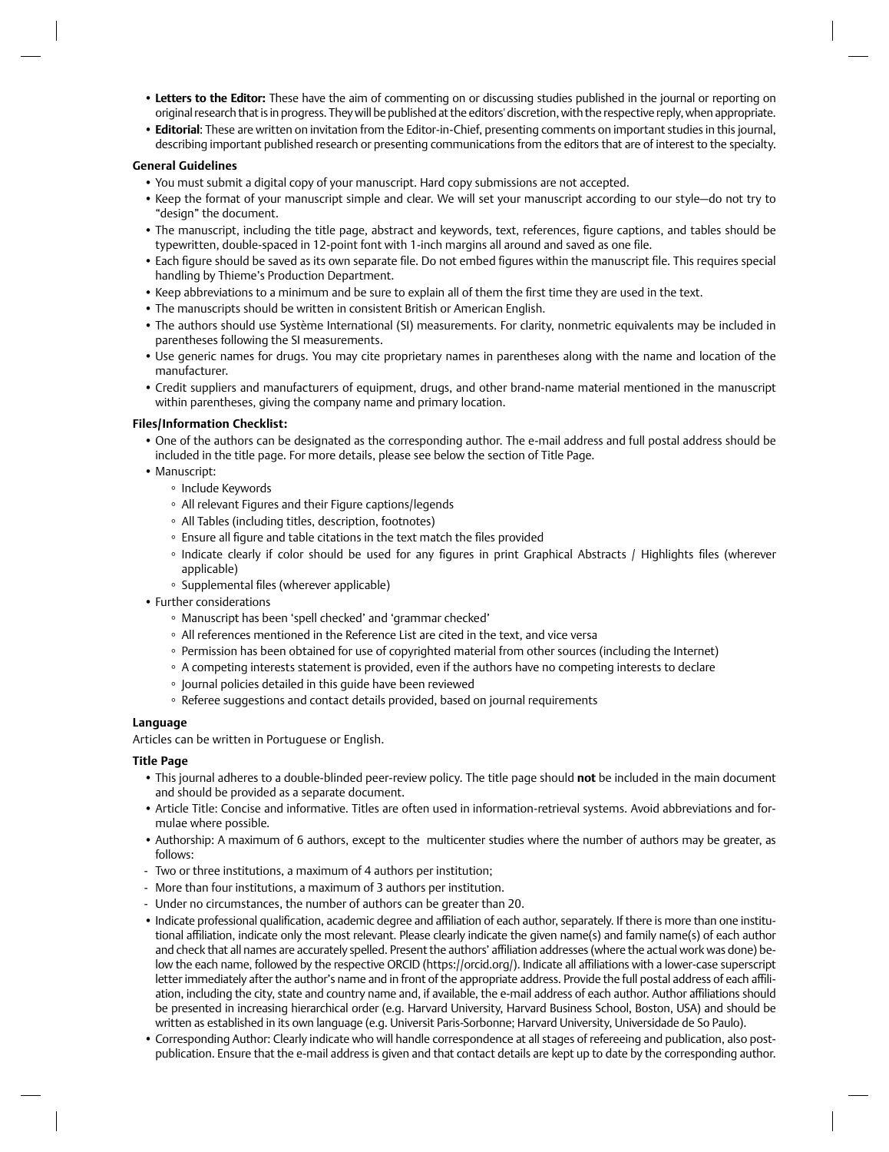- **Letters to the Editor:** These have the aim of commenting on or discussing studies published in the journal or reporting on original research that is in progress. They will be published at the editors' discretion, with the respective reply, when appropriate.
- **Editorial**: These are written on invitation from the Editor-in-Chief, presenting comments on important studies in this journal, describing important published research or presenting communications from the editors that are of interest to the specialty.

# **General Guidelines**

- You must submit a digital copy of your manuscript. Hard copy submissions are not accepted.
- Keep the format of your manuscript simple and clear. We will set your manuscript according to our style—do not try to "design" the document.
- The manuscript, including the title page, abstract and keywords, text, references, figure captions, and tables should be typewritten, double-spaced in 12-point font with 1-inch margins all around and saved as one file.
- Each figure should be saved as its own separate file. Do not embed figures within the manuscript file. This requires special handling by Thieme's Production Department.
- Keep abbreviations to a minimum and be sure to explain all of them the first time they are used in the text.
- The manuscripts should be written in consistent British or American English.
- The authors should use Système International (SI) measurements. For clarity, nonmetric equivalents may be included in parentheses following the SI measurements.
- Use generic names for drugs. You may cite proprietary names in parentheses along with the name and location of the manufacturer.
- Credit suppliers and manufacturers of equipment, drugs, and other brand-name material mentioned in the manuscript within parentheses, giving the company name and primary location.

# **Files/Information Checklist:**

- One of the authors can be designated as the corresponding author. The e-mail address and full postal address should be included in the title page. For more details, please see below the section of Title Page.
- Manuscript:
	- Include Keywords
	- All relevant Figures and their Figure captions/legends
	- All Tables (including titles, description, footnotes)
	- Ensure all figure and table citations in the text match the files provided
	- Indicate clearly if color should be used for any fiqures in print Graphical Abstracts / Highlights files (wherever applicable)
	- Supplemental files (wherever applicable)
- Further considerations
	- Manuscript has been 'spell checked' and 'grammar checked'
	- All references mentioned in the Reference List are cited in the text, and vice versa
	- Permission has been obtained for use of copyrighted material from other sources (including the Internet)
	- A competing interests statement is provided, even if the authors have no competing interests to declare
	- Journal policies detailed in this guide have been reviewed
	- Referee suggestions and contact details provided, based on journal requirements

#### **Language**

Articles can be written in Portuguese or English.

#### **Title Page**

- This journal adheres to a double-blinded peer-review policy. The title page should **not** be included in the main document and should be provided as a separate document.
- Article Title: Concise and informative. Titles are often used in information-retrieval systems. Avoid abbreviations and formulae where possible.
- Authorship: A maximum of 6 authors, except to the multicenter studies where the number of authors may be greater, as follows:
- Two or three institutions, a maximum of 4 authors per institution;
- More than four institutions, a maximum of 3 authors per institution.
- Under no circumstances, the number of authors can be greater than 20.
- Indicate professional qualification, academic degree and affiliation of each author, separately. If there is more than one institutional affiliation, indicate only the most relevant. Please clearly indicate the given name(s) and family name(s) of each author and check that all names are accurately spelled. Present the authors' affiliation addresses (where the actual work was done) below the each name, followed by the respective ORCID (https://orcid.org/). Indicate all affiliations with a lower-case superscript letter immediately after the author's name and in front of the appropriate address. Provide the full postal address of each affiliation, including the city, state and country name and, if available, the e-mail address of each author. Author affiliations should be presented in increasing hierarchical order (e.g. Harvard University, Harvard Business School, Boston, USA) and should be written as established in its own language (e.g. Universit Paris-Sorbonne; Harvard University, Universidade de So Paulo).
- Corresponding Author: Clearly indicate who will handle correspondence at all stages of refereeing and publication, also postpublication. Ensure that the e-mail address is given and that contact details are kept up to date by the corresponding author.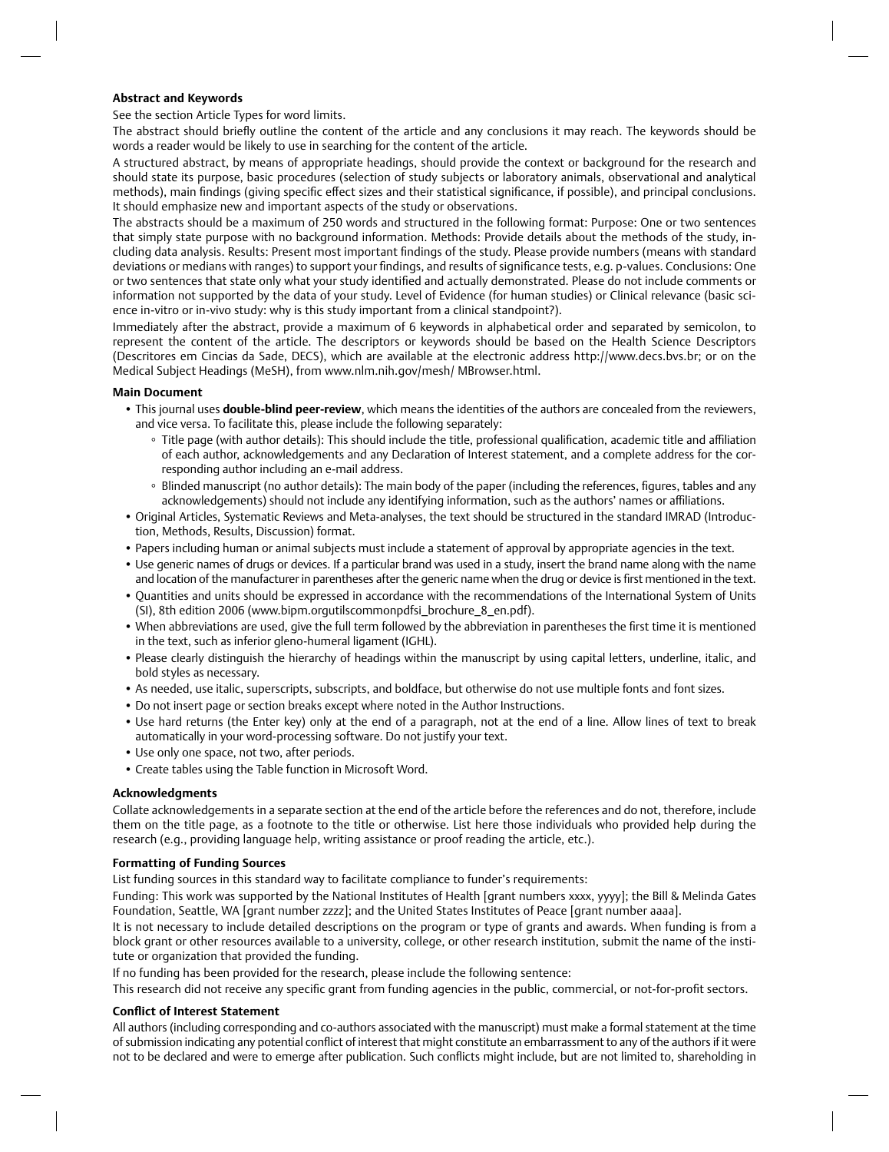# **Abstract and Keywords**

See the section Article Types for word limits.

The abstract should briefly outline the content of the article and any conclusions it may reach. The keywords should be words a reader would be likely to use in searching for the content of the article.

A structured abstract, by means of appropriate headings, should provide the context or background for the research and should state its purpose, basic procedures (selection of study subjects or laboratory animals, observational and analytical methods), main findings (giving specific effect sizes and their statistical significance, if possible), and principal conclusions. It should emphasize new and important aspects of the study or observations.

The abstracts should be a maximum of 250 words and structured in the following format: Purpose: One or two sentences that simply state purpose with no background information. Methods: Provide details about the methods of the study, including data analysis. Results: Present most important findings of the study. Please provide numbers (means with standard deviations or medians with ranges) to support your findings, and results of significance tests, e.g. p-values. Conclusions: One or two sentences that state only what your study identified and actually demonstrated. Please do not include comments or information not supported by the data of your study. Level of Evidence (for human studies) or Clinical relevance (basic science in-vitro or in-vivo study: why is this study important from a clinical standpoint?).

Immediately after the abstract, provide a maximum of 6 keywords in alphabetical order and separated by semicolon, to represent the content of the article. The descriptors or keywords should be based on the Health Science Descriptors (Descritores em Cincias da Sade, DECS), which are available at the electronic address http://www.decs.bvs.br; or on the Medical Subject Headings (MeSH), from www.nlm.nih.gov/mesh/ MBrowser.html.

#### **Main Document**

- This journal uses **double-blind peer-review**, which means the identities of the authors are concealed from the reviewers, and vice versa. To facilitate this, please include the following separately:
	- Title page (with author details): This should include the title, professional qualification, academic title and affiliation of each author, acknowledgements and any Declaration of Interest statement, and a complete address for the corresponding author including an e-mail address.
	- Blinded manuscript (no author details): The main body of the paper (including the references, figures, tables and any acknowledgements) should not include any identifying information, such as the authors' names or affiliations.
- Original Articles, Systematic Reviews and Meta-analyses, the text should be structured in the standard IMRAD (Introduction, Methods, Results, Discussion) format.
- Papers including human or animal subjects must include a statement of approval by appropriate agencies in the text.
- Use generic names of drugs or devices. If a particular brand was used in a study, insert the brand name along with the name and location of the manufacturer in parentheses after the generic name when the drug or device is first mentioned in the text.
- Quantities and units should be expressed in accordance with the recommendations of the International System of Units (SI), 8th edition 2006 (www.bipm.orgutilscommonpdfsi\_brochure\_8\_en.pdf).
- When abbreviations are used, give the full term followed by the abbreviation in parentheses the first time it is mentioned in the text, such as inferior gleno-humeral ligament (IGHL).
- Please clearly distinguish the hierarchy of headings within the manuscript by using capital letters, underline, italic, and bold styles as necessary.
- As needed, use italic, superscripts, subscripts, and boldface, but otherwise do not use multiple fonts and font sizes.
- Do not insert page or section breaks except where noted in the Author Instructions.
- Use hard returns (the Enter key) only at the end of a paragraph, not at the end of a line. Allow lines of text to break automatically in your word-processing software. Do not justify your text.
- Use only one space, not two, after periods.
- Create tables using the Table function in Microsoft Word.

#### **Acknowledgments**

Collate acknowledgements in a separate section at the end of the article before the references and do not, therefore, include them on the title page, as a footnote to the title or otherwise. List here those individuals who provided help during the research (e.g., providing language help, writing assistance or proof reading the article, etc.).

#### **Formatting of Funding Sources**

List funding sources in this standard way to facilitate compliance to funder's requirements:

Funding: This work was supported by the National Institutes of Health [grant numbers xxxx, yyyy]; the Bill & Melinda Gates Foundation, Seattle, WA [grant number zzzz]; and the United States Institutes of Peace [grant number aaaa].

It is not necessary to include detailed descriptions on the program or type of grants and awards. When funding is from a block grant or other resources available to a university, college, or other research institution, submit the name of the institute or organization that provided the funding.

If no funding has been provided for the research, please include the following sentence:

This research did not receive any specific grant from funding agencies in the public, commercial, or not-for-profit sectors.

#### **Conflict of Interest Statement**

All authors (including corresponding and co-authors associated with the manuscript) must make a formal statement at the time of submission indicating any potential conflict of interest that might constitute an embarrassment to any of the authors if it were not to be declared and were to emerge after publication. Such conflicts might include, but are not limited to, shareholding in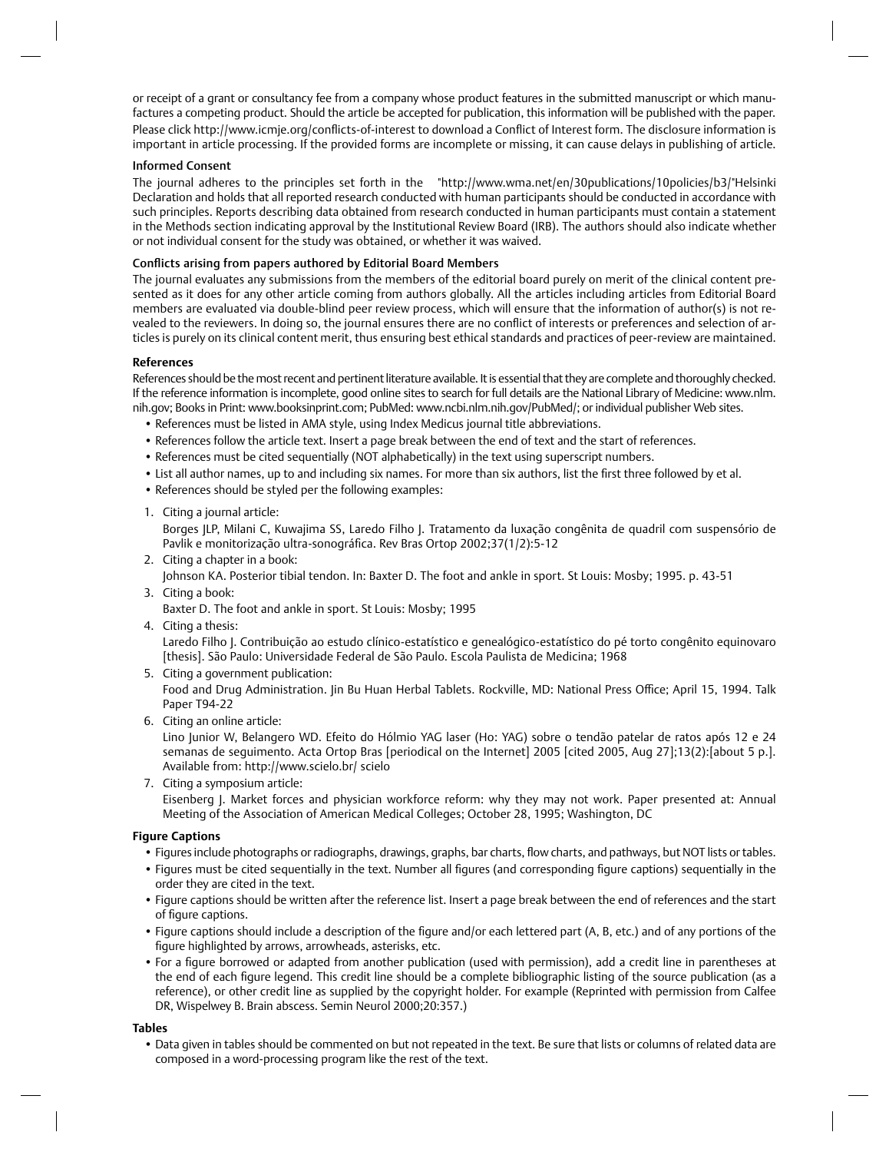or receipt of a grant or consultancy fee from a company whose product features in the submitted manuscript or which manufactures a competing product. Should the article be accepted for publication, this information will be published with the paper. Please click http://www.icmje.org/conflicts-of-interest to download a Conflict of Interest form. The disclosure information is important in article processing. If the provided forms are incomplete or missing, it can cause delays in publishing of article.

#### Informed Consent

The journal adheres to the principles set forth in the "http://www.wma.net/en/30publications/10policies/b3/"Helsinki Declaration and holds that all reported research conducted with human participants should be conducted in accordance with such principles. Reports describing data obtained from research conducted in human participants must contain a statement in the Methods section indicating approval by the Institutional Review Board (IRB). The authors should also indicate whether or not individual consent for the study was obtained, or whether it was waived.

# Conflicts arising from papers authored by Editorial Board Members

The journal evaluates any submissions from the members of the editorial board purely on merit of the clinical content presented as it does for any other article coming from authors globally. All the articles including articles from Editorial Board members are evaluated via double-blind peer review process, which will ensure that the information of author(s) is not revealed to the reviewers. In doing so, the journal ensures there are no conflict of interests or preferences and selection of articles is purely on its clinical content merit, thus ensuring best ethical standards and practices of peer-review are maintained.

#### **References**

References should be the most recent and pertinent literature available. It is essential that they are complete and thoroughly checked. If the reference information is incomplete, good online sites to search for full details are the National Library of Medicine: www.nlm. nih.gov; Books in Print: www.booksinprint.com; PubMed: www.ncbi.nlm.nih.gov/PubMed/; or individual publisher Web sites.

- References must be listed in AMA style, using Index Medicus journal title abbreviations.
- References follow the article text. Insert a page break between the end of text and the start of references.
- References must be cited sequentially (NOT alphabetically) in the text using superscript numbers.
- List all author names, up to and including six names. For more than six authors, list the first three followed by et al.
- References should be styled per the following examples:
- 1. Citing a journal article:

Borges JLP, Milani C, Kuwajima SS, Laredo Filho J. Tratamento da luxação congênita de quadril com suspensório de Pavlik e monitorização ultra-sonográfica. Rev Bras Ortop 2002;37(1/2):5-12

2. Citing a chapter in a book:

Johnson KA. Posterior tibial tendon. In: Baxter D. The foot and ankle in sport. St Louis: Mosby; 1995. p. 43-51

3. Citing a book:

Baxter D. The foot and ankle in sport. St Louis: Mosby; 1995

4. Citing a thesis:

Laredo Filho J. Contribuição ao estudo clínico-estatístico e genealógico-estatístico do pé torto congênito equinovaro [thesis]. São Paulo: Universidade Federal de São Paulo. Escola Paulista de Medicina; 1968

5. Citing a government publication:

Food and Drug Administration. Jin Bu Huan Herbal Tablets. Rockville, MD: National Press Office; April 15, 1994. Talk Paper T94-22

6. Citing an online article:

Lino Junior W, Belangero WD. Efeito do Hólmio YAG laser (Ho: YAG) sobre o tendão patelar de ratos após 12 e 24 semanas de seguimento. Acta Ortop Bras [periodical on the Internet] 2005 [cited 2005, Aug 27];13(2):[about 5 p.]. Available from: http://www.scielo.br/ scielo

7. Citing a symposium article: Eisenberg J. Market forces and physician workforce reform: why they may not work. Paper presented at: Annual Meeting of the Association of American Medical Colleges; October 28, 1995; Washington, DC

# **Figure Captions**

- Figures include photographs or radiographs, drawings, graphs, bar charts, flow charts, and pathways, but NOT lists or tables.
- Figures must be cited sequentially in the text. Number all figures (and corresponding figure captions) sequentially in the order they are cited in the text.
- Figure captions should be written after the reference list. Insert a page break between the end of references and the start of figure captions.
- Figure captions should include a description of the figure and/or each lettered part (A, B, etc.) and of any portions of the figure highlighted by arrows, arrowheads, asterisks, etc.
- For a figure borrowed or adapted from another publication (used with permission), add a credit line in parentheses at the end of each figure legend. This credit line should be a complete bibliographic listing of the source publication (as a reference), or other credit line as supplied by the copyright holder. For example (Reprinted with permission from Calfee DR, Wispelwey B. Brain abscess. Semin Neurol 2000;20:357.)

**Tables**

• Data given in tables should be commented on but not repeated in the text. Be sure that lists or columns of related data are composed in a word-processing program like the rest of the text.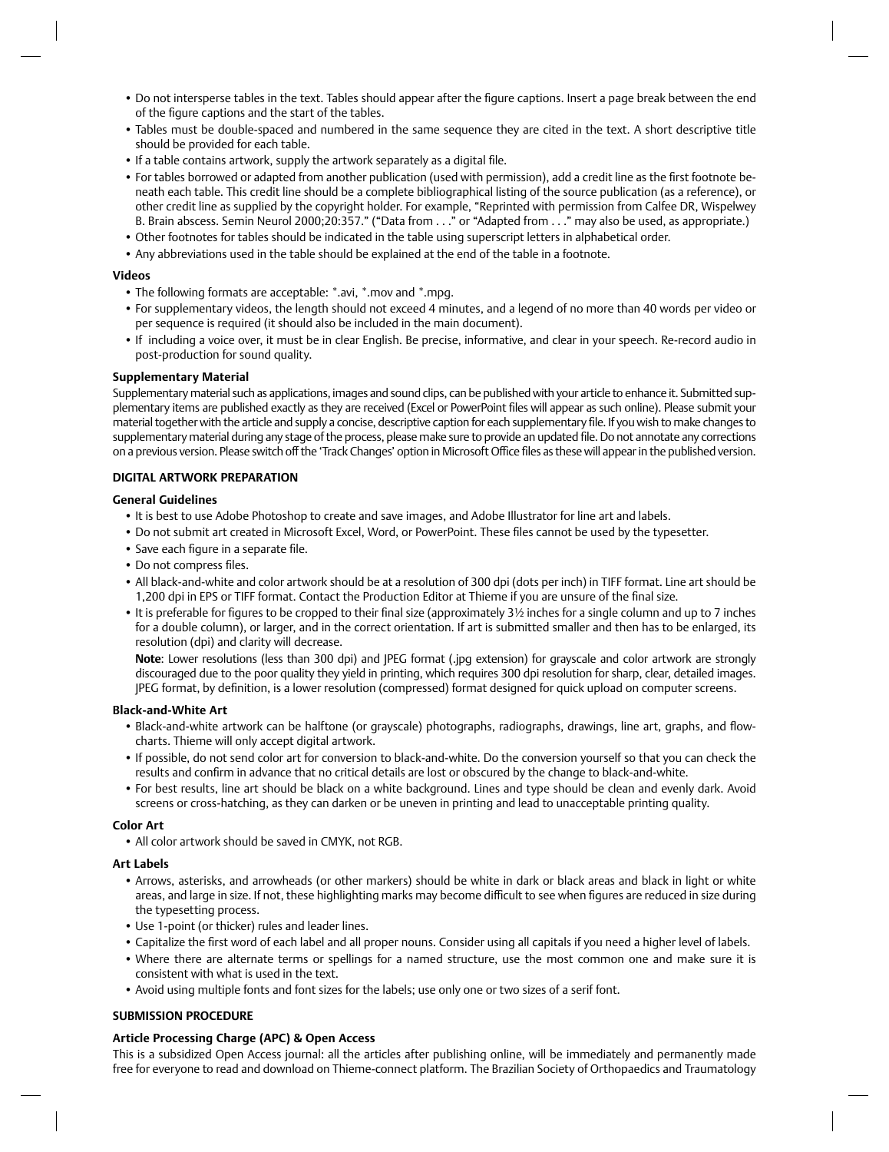- Do not intersperse tables in the text. Tables should appear after the fiqure captions. Insert a page break between the end of the figure captions and the start of the tables.
- Tables must be double-spaced and numbered in the same sequence they are cited in the text. A short descriptive title should be provided for each table.
- If a table contains artwork, supply the artwork separately as a digital file.
- For tables borrowed or adapted from another publication (used with permission), add a credit line as the first footnote beneath each table. This credit line should be a complete bibliographical listing of the source publication (as a reference), or other credit line as supplied by the copyright holder. For example, "Reprinted with permission from Calfee DR, Wispelwey B. Brain abscess. Semin Neurol 2000;20:357." ("Data from . . ." or "Adapted from . . ." may also be used, as appropriate.)
- Other footnotes for tables should be indicated in the table using superscript letters in alphabetical order.
- Any abbreviations used in the table should be explained at the end of the table in a footnote.

### **Videos**

- The following formats are acceptable: \*.avi, \*.mov and \*.mpg.
- For supplementary videos, the length should not exceed 4 minutes, and a legend of no more than 40 words per video or per sequence is required (it should also be included in the main document).
- If including a voice over, it must be in clear English. Be precise, informative, and clear in your speech. Re-record audio in post-production for sound quality.

#### **Supplementary Material**

Supplementary material such as applications, images and sound clips, can be published with your article to enhance it. Submitted supplementary items are published exactly as they are received (Excel or PowerPoint files will appear as such online). Please submit your material together with the article and supply a concise, descriptive caption for each supplementary file. If you wish to make changes to supplementary material during any stage of the process, please make sure to provide an updated file. Do not annotate any corrections on a previous version. Please switch off the 'Track Changes' option in Microsoft Office files as these will appear in the published version.

# **DIGITAL ARTWORK PREPARATION**

#### **General Guidelines**

- It is best to use Adobe Photoshop to create and save images, and Adobe Illustrator for line art and labels.
- Do not submit art created in Microsoft Excel, Word, or PowerPoint. These files cannot be used by the typesetter.
- Save each figure in a separate file.
- Do not compress files.
- All black-and-white and color artwork should be at a resolution of 300 dpi (dots per inch) in TIFF format. Line art should be 1,200 dpi in EPS or TIFF format. Contact the Production Editor at Thieme if you are unsure of the final size.
- It is preferable for figures to be cropped to their final size (approximately 3½ inches for a single column and up to 7 inches for a double column), or larger, and in the correct orientation. If art is submitted smaller and then has to be enlarged, its resolution (dpi) and clarity will decrease.

**Note**: Lower resolutions (less than 300 dpi) and JPEG format (.jpg extension) for grayscale and color artwork are strongly discouraged due to the poor quality they yield in printing, which requires 300 dpi resolution for sharp, clear, detailed images. JPEG format, by definition, is a lower resolution (compressed) format designed for quick upload on computer screens.

#### **Black-and-White Art**

- Black-and-white artwork can be halftone (or grayscale) photographs, radiographs, drawings, line art, graphs, and flowcharts. Thieme will only accept digital artwork.
- If possible, do not send color art for conversion to black-and-white. Do the conversion yourself so that you can check the results and confirm in advance that no critical details are lost or obscured by the change to black-and-white.
- For best results, line art should be black on a white background. Lines and type should be clean and evenly dark. Avoid screens or cross-hatching, as they can darken or be uneven in printing and lead to unacceptable printing quality.

#### **Color Art**

• All color artwork should be saved in CMYK, not RGB.

### **Art Labels**

- Arrows, asterisks, and arrowheads (or other markers) should be white in dark or black areas and black in light or white areas, and large in size. If not, these highlighting marks may become difficult to see when figures are reduced in size during the typesetting process.
- Use 1-point (or thicker) rules and leader lines.
- Capitalize the first word of each label and all proper nouns. Consider using all capitals if you need a higher level of labels.
- Where there are alternate terms or spellings for a named structure, use the most common one and make sure it is consistent with what is used in the text.
- Avoid using multiple fonts and font sizes for the labels; use only one or two sizes of a serif font.

# **SUBMISSION PROCEDURE**

#### **Article Processing Charge (APC) & Open Access**

This is a subsidized Open Access journal: all the articles after publishing online, will be immediately and permanently made free for everyone to read and download on Thieme-connect platform. The Brazilian Society of Orthopaedics and Traumatology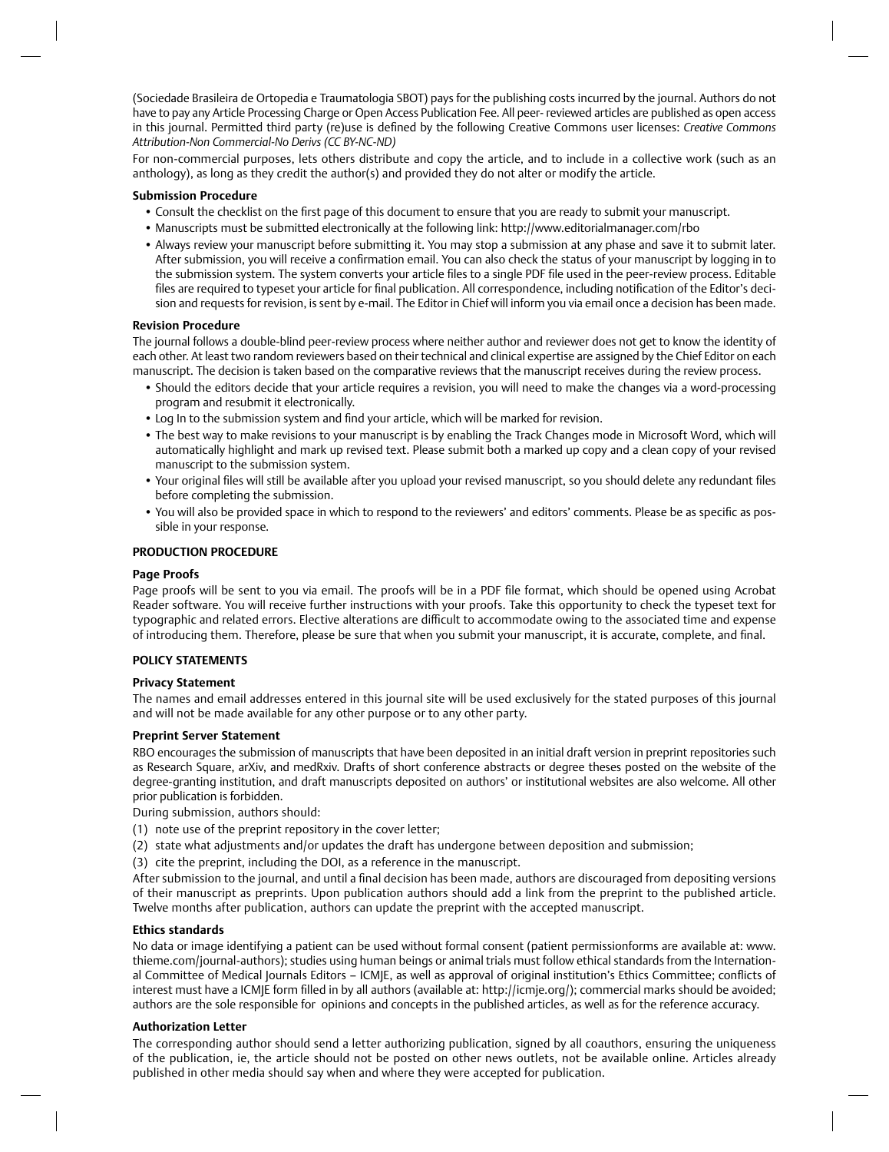(Sociedade Brasileira de Ortopedia e Traumatologia SBOT) pays for the publishing costs incurred by the journal. Authors do not have to pay any Article Processing Charge or Open Access Publication Fee. All peer- reviewed articles are published as open access in this journal. Permitted third party (re)use is defined by the following Creative Commons user licenses: *Creative Commons Attribution-Non Commercial-No Derivs (CC BY-NC-ND)*

For non-commercial purposes, lets others distribute and copy the article, and to include in a collective work (such as an anthology), as long as they credit the author(s) and provided they do not alter or modify the article.

### **Submission Procedure**

- Consult the checklist on the first page of this document to ensure that you are ready to submit your manuscript.
- Manuscripts must be submitted electronically at the following link: http://www.editorialmanager.com/rbo
- Always review your manuscript before submitting it. You may stop a submission at any phase and save it to submit later. After submission, you will receive a confirmation email. You can also check the status of your manuscript by logging in to the submission system. The system converts your article files to a single PDF file used in the peer-review process. Editable files are required to typeset your article for final publication. All correspondence, including notification of the Editor's decision and requests for revision, is sent by e-mail. The Editor in Chief will inform you via email once a decision has been made.

#### **Revision Procedure**

The journal follows a double-blind peer-review process where neither author and reviewer does not get to know the identity of each other. At least two random reviewers based on their technical and clinical expertise are assigned by the Chief Editor on each manuscript. The decision is taken based on the comparative reviews that the manuscript receives during the review process.

- Should the editors decide that your article requires a revision, you will need to make the changes via a word-processing program and resubmit it electronically.
- Log In to the submission system and find your article, which will be marked for revision.
- The best way to make revisions to your manuscript is by enabling the Track Changes mode in Microsoft Word, which will automatically highlight and mark up revised text. Please submit both a marked up copy and a clean copy of your revised manuscript to the submission system.
- Your original files will still be available after you upload your revised manuscript, so you should delete any redundant files before completing the submission.
- You will also be provided space in which to respond to the reviewers' and editors' comments. Please be as specific as possible in your response.

# **PRODUCTION PROCEDURE**

# **Page Proofs**

Page proofs will be sent to you via email. The proofs will be in a PDF file format, which should be opened using Acrobat Reader software. You will receive further instructions with your proofs. Take this opportunity to check the typeset text for typographic and related errors. Elective alterations are difficult to accommodate owing to the associated time and expense of introducing them. Therefore, please be sure that when you submit your manuscript, it is accurate, complete, and final.

# **POLICY STATEMENTS**

#### **Privacy Statement**

The names and email addresses entered in this journal site will be used exclusively for the stated purposes of this journal and will not be made available for any other purpose or to any other party.

#### **Preprint Server Statement**

RBO encourages the submission of manuscripts that have been deposited in an initial draft version in preprint repositories such as Research Square, arXiv, and medRxiv. Drafts of short conference abstracts or degree theses posted on the website of the degree-granting institution, and draft manuscripts deposited on authors' or institutional websites are also welcome. All other prior publication is forbidden.

During submission, authors should:

- (1) note use of the preprint repository in the cover letter;
- (2) state what adjustments and/or updates the draft has undergone between deposition and submission;
- (3) cite the preprint, including the DOI, as a reference in the manuscript.

After submission to the journal, and until a final decision has been made, authors are discouraged from depositing versions of their manuscript as preprints. Upon publication authors should add a link from the preprint to the published article. Twelve months after publication, authors can update the preprint with the accepted manuscript.

#### **Ethics standards**

No data or image identifying a patient can be used without formal consent (patient permissionforms are available at: www. thieme.com/journal-authors); studies using human beings or animal trials must follow ethical standards from the International Committee of Medical Journals Editors – ICMJE, as well as approval of original institution's Ethics Committee; conflicts of interest must have a ICMJE form filled in by all authors (available at: http://icmje.org/); commercial marks should be avoided; authors are the sole responsible for opinions and concepts in the published articles, as well as for the reference accuracy.

#### **Authorization Letter**

The corresponding author should send a letter authorizing publication, signed by all coauthors, ensuring the uniqueness of the publication, ie, the article should not be posted on other news outlets, not be available online. Articles already published in other media should say when and where they were accepted for publication.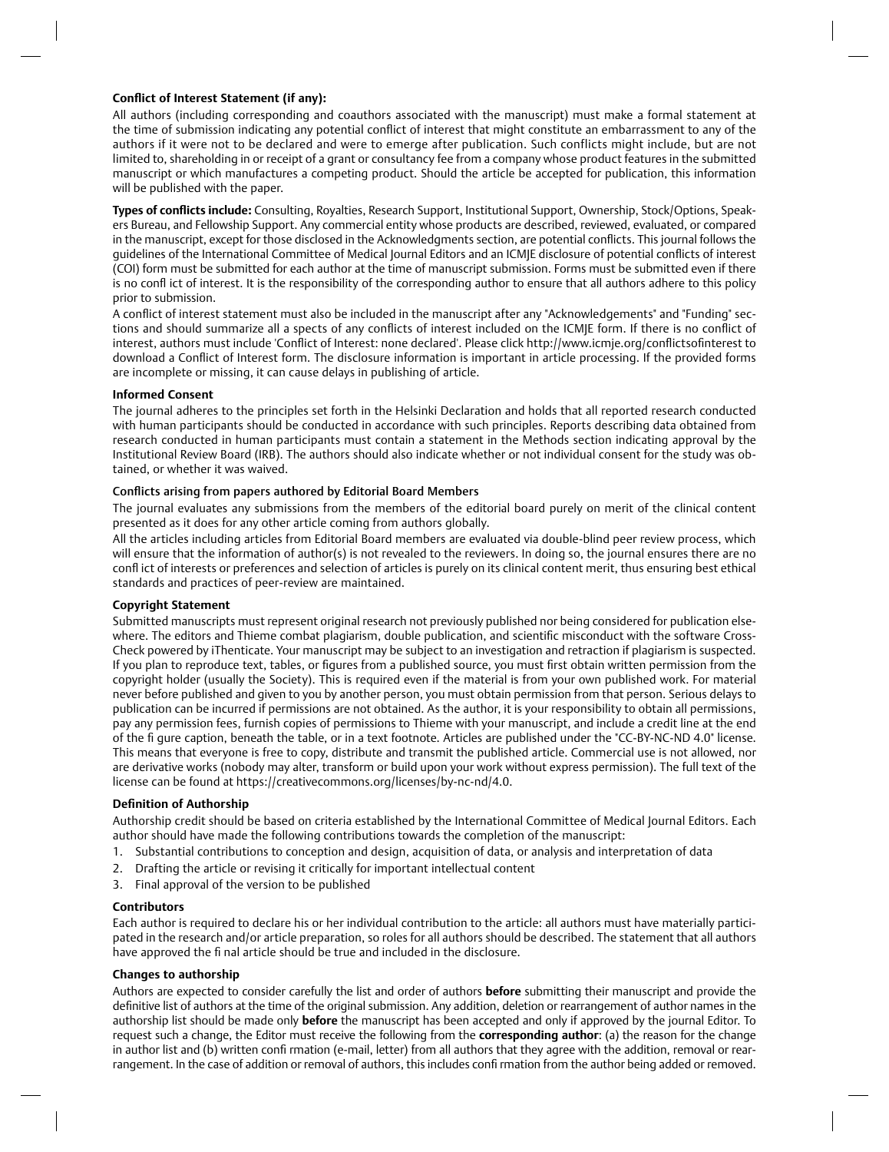# **Conflict of Interest Statement (if any):**

All authors (including corresponding and coauthors associated with the manuscript) must make a formal statement at the time of submission indicating any potential conflict of interest that might constitute an embarrassment to any of the authors if it were not to be declared and were to emerge after publication. Such conflicts might include, but are not limited to, shareholding in or receipt of a grant or consultancy fee from a company whose product features in the submitted manuscript or which manufactures a competing product. Should the article be accepted for publication, this information will be published with the paper.

Types of conflicts include: Consulting, Royalties, Research Support, Institutional Support, Ownership, Stock/Options, Speakers Bureau, and Fellowship Support. Any commercial entity whose products are described, reviewed, evaluated, or compared in the manuscript, except for those disclosed in the Acknowledgments section, are potential conflicts. This journal follows the guidelines of the International Committee of Medical Journal Editors and an ICMIE disclosure of potential conflicts of interest (COI) form must be submitted for each author at the time of manuscript submission. Forms must be submitted even if there is no confl ict of interest. It is the responsibility of the corresponding author to ensure that all authors adhere to this policy prior to submission.

A conflict of interest statement must also be included in the manuscript after any "Acknowledgements" and "Funding" sections and should summarize all a spects of any conflicts of interest included on the ICMJE form. If there is no conflict of interest, authors must include 'Conflict of Interest: none declared'. Please click http://www.icmje.org/conflictsofinterest to download a Conflict of Interest form. The disclosure information is important in article processing. If the provided forms are incomplete or missing, it can cause delays in publishing of article.

# **Informed Consent**

The journal adheres to the principles set forth in the Helsinki Declaration and holds that all reported research conducted with human participants should be conducted in accordance with such principles. Reports describing data obtained from research conducted in human participants must contain a statement in the Methods section indicating approval by the Institutional Review Board (IRB). The authors should also indicate whether or not individual consent for the study was obtained, or whether it was waived.

# Conflicts arising from papers authored by Editorial Board Members

The journal evaluates any submissions from the members of the editorial board purely on merit of the clinical content presented as it does for any other article coming from authors globally.

All the articles including articles from Editorial Board members are evaluated via double-blind peer review process, which will ensure that the information of author(s) is not revealed to the reviewers. In doing so, the journal ensures there are no confl ict of interests or preferences and selection of articles is purely on its clinical content merit, thus ensuring best ethical standards and practices of peer-review are maintained.

#### **Copyright Statement**

Submitted manuscripts must represent original research not previously published nor being considered for publication elsewhere. The editors and Thieme combat plagiarism, double publication, and scientific misconduct with the software Cross-Check powered by iThenticate. Your manuscript may be subject to an investigation and retraction if plagiarism is suspected. If you plan to reproduce text, tables, or fiqures from a published source, you must first obtain written permission from the copyright holder (usually the Society). This is required even if the material is from your own published work. For material never before published and given to you by another person, you must obtain permission from that person. Serious delays to publication can be incurred if permissions are not obtained. As the author, it is your responsibility to obtain all permissions, pay any permission fees, furnish copies of permissions to Thieme with your manuscript, and include a credit line at the end of the fi gure caption, beneath the table, or in a text footnote. Articles are published under the "CC-BY-NC-ND 4.0" license. This means that everyone is free to copy, distribute and transmit the published article. Commercial use is not allowed, nor are derivative works (nobody may alter, transform or build upon your work without express permission). The full text of the license can be found at https://creativecommons.org/licenses/by-nc-nd/4.0.

#### **Definition of Authorship**

Authorship credit should be based on criteria established by the International Committee of Medical Journal Editors. Each author should have made the following contributions towards the completion of the manuscript:

- 1. Substantial contributions to conception and design, acquisition of data, or analysis and interpretation of data
- 2. Drafting the article or revising it critically for important intellectual content
- 3. Final approval of the version to be published

#### **Contributors**

Each author is required to declare his or her individual contribution to the article: all authors must have materially participated in the research and/or article preparation, so roles for all authors should be described. The statement that all authors have approved the fi nal article should be true and included in the disclosure.

# **Changes to authorship**

Authors are expected to consider carefully the list and order of authors **before** submitting their manuscript and provide the definitive list of authors at the time of the original submission. Any addition, deletion or rearrangement of author names in the authorship list should be made only **before** the manuscript has been accepted and only if approved by the journal Editor. To request such a change, the Editor must receive the following from the **corresponding author**: (a) the reason for the change in author list and (b) written confi rmation (e-mail, letter) from all authors that they agree with the addition, removal or rearrangement. In the case of addition or removal of authors, this includes confi rmation from the author being added or removed.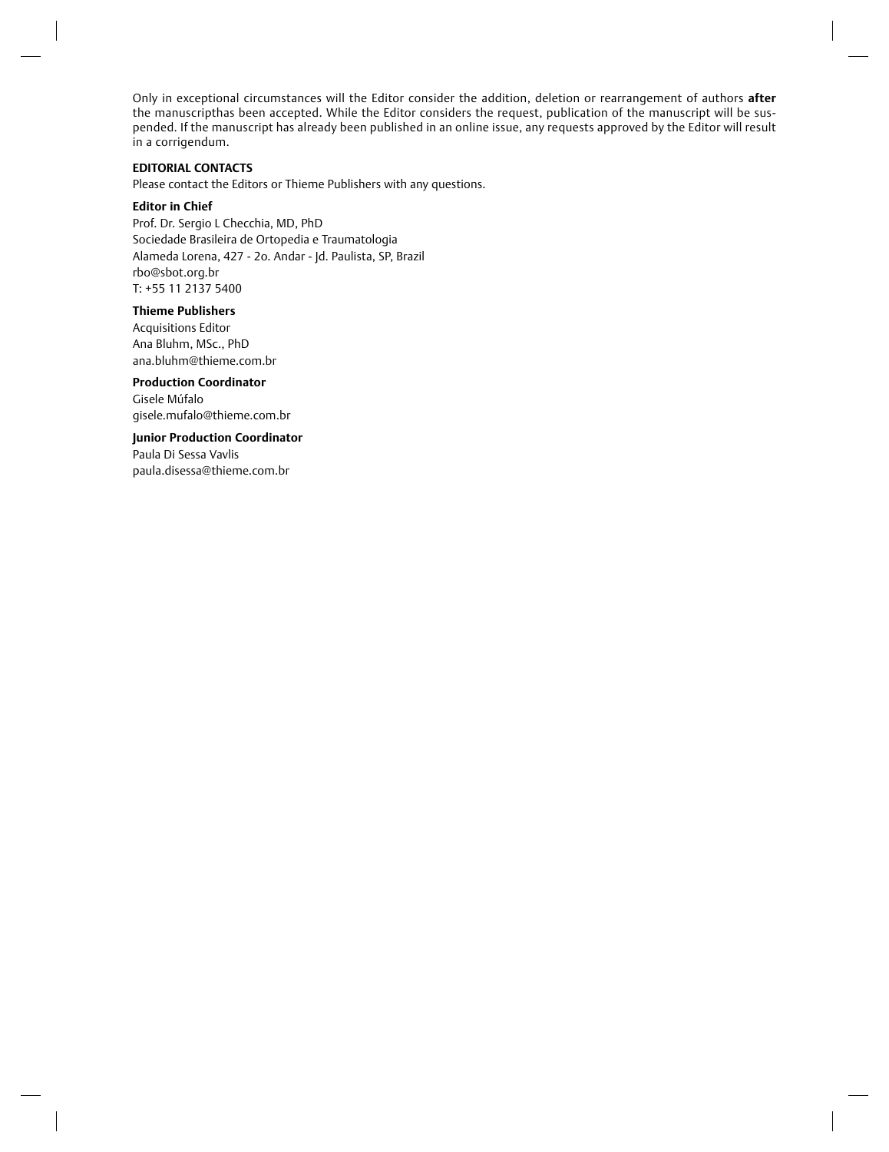Only in exceptional circumstances will the Editor consider the addition, deletion or rearrangement of authors **after** the manuscripthas been accepted. While the Editor considers the request, publication of the manuscript will be suspended. If the manuscript has already been published in an online issue, any requests approved by the Editor will result in a corrigendum.

# **EDITORIAL CONTACTS**

Please contact the Editors or Thieme Publishers with any questions.

#### **Editor in Chief**

Prof. Dr. Sergio L Checchia, MD, PhD Sociedade Brasileira de Ortopedia e Traumatologia Alameda Lorena, 427 - 2o. Andar - Jd. Paulista, SP, Brazil rbo@sbot.org.br T: +55 11 2137 5400

# **Thieme Publishers**

Acquisitions Editor Ana Bluhm, MSc., PhD ana.bluhm@thieme.com.br

# **Production Coordinator**  Gisele Múfalo gisele.mufalo@thieme.com.br

**Junior Production Coordinator**  Paula Di Sessa Vavlis paula.disessa@thieme.com.br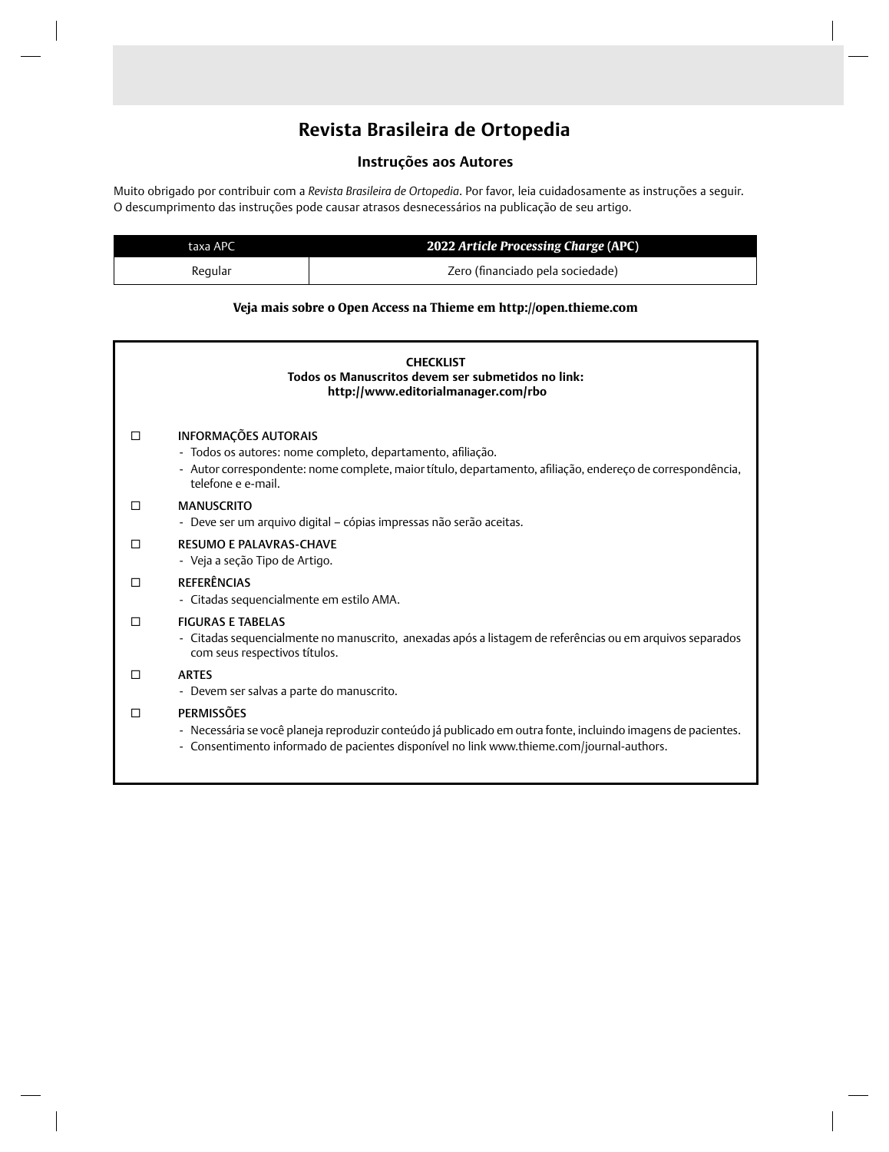# **Revista Brasileira de Ortopedia**

# **Instruções aos Autores**

Muito obrigado por contribuir com a *Revista Brasileira de Ortopedia*. Por favor, leia cuidadosamente as instruções a seguir. O descumprimento das instruções pode causar atrasos desnecessários na publicação de seu artigo.

| taxa APC | 2022 Article Processing Charge (APC) |  |  |
|----------|--------------------------------------|--|--|
| Reaular  | Zero (financiado pela sociedade)     |  |  |

# **Veja mais sobre o Open Access na Thieme em http://open.thieme.com**

| <b>CHECKLIST</b><br>Todos os Manuscritos devem ser submetidos no link:<br>http://www.editorialmanager.com/rbo |                                                                                                                                                                                                                                                                              |  |  |
|---------------------------------------------------------------------------------------------------------------|------------------------------------------------------------------------------------------------------------------------------------------------------------------------------------------------------------------------------------------------------------------------------|--|--|
| П                                                                                                             | <b>INFORMAÇÕES AUTORAIS</b><br>- Todos os autores: nome completo, departamento, afiliação.<br>- Autor correspondente: nome complete, maior título, departamento, afiliação, endereço de correspondência,<br>telefone e e-mail.                                               |  |  |
| П                                                                                                             | <b>MANUSCRITO</b><br>- Deve ser um arquivo digital - cópias impressas não serão aceitas.                                                                                                                                                                                     |  |  |
| $\Box$                                                                                                        | <b>RESUMO E PALAVRAS-CHAVE</b><br>- Veja a seção Tipo de Artigo.                                                                                                                                                                                                             |  |  |
| П                                                                                                             | <b>REFERÊNCIAS</b><br>- Citadas sequencialmente em estilo AMA.                                                                                                                                                                                                               |  |  |
| П                                                                                                             | <b>FIGURAS E TABELAS</b><br>- Citadas sequencialmente no manuscrito, anexadas após a listagem de referências ou em arquivos separados<br>com seus respectivos títulos.                                                                                                       |  |  |
| П                                                                                                             | <b>ARTES</b>                                                                                                                                                                                                                                                                 |  |  |
| П                                                                                                             | - Devem ser salvas a parte do manuscrito.<br><b>PERMISSÕES</b><br>- Necessária se você planeja reproduzir conteúdo já publicado em outra fonte, incluindo imagens de pacientes.<br>- Consentimento informado de pacientes disponível no link www.thieme.com/journal-authors. |  |  |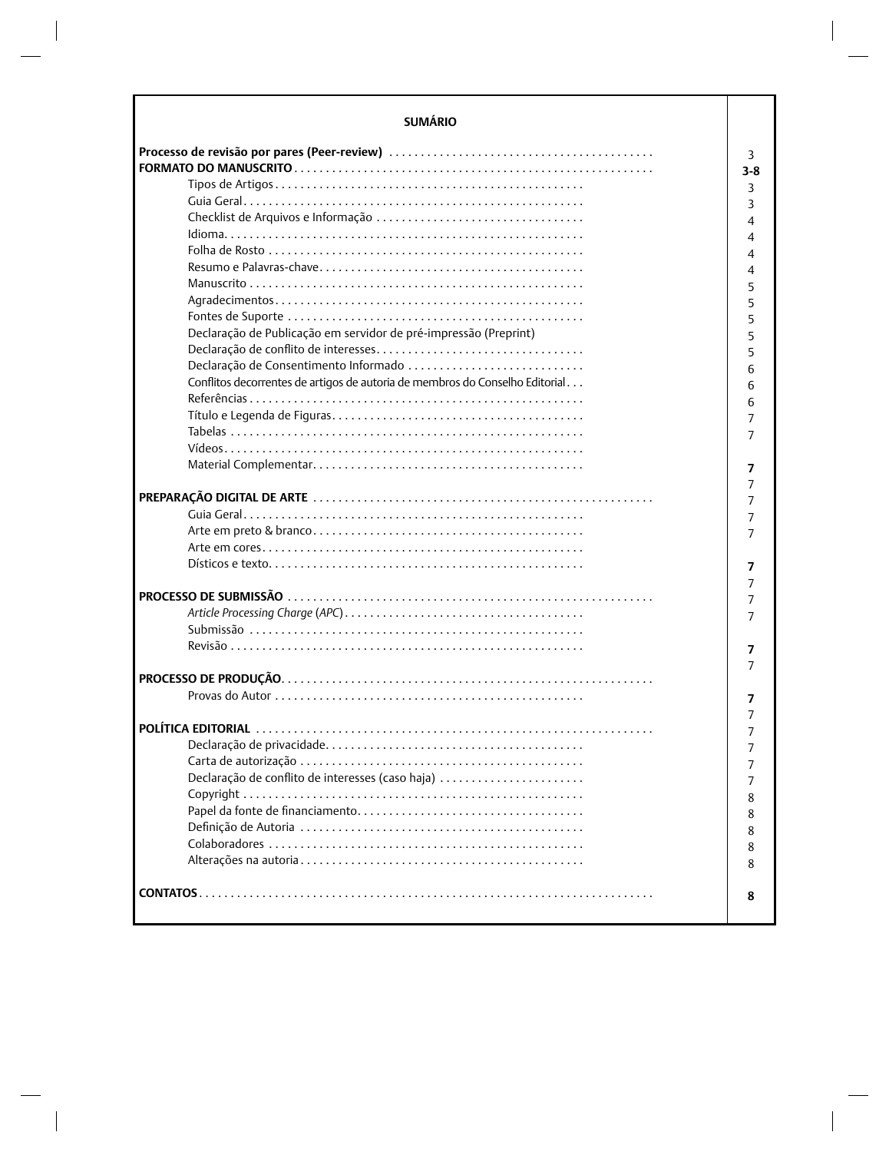| <b>SUMÁRIO</b>                                                               |         |
|------------------------------------------------------------------------------|---------|
|                                                                              | 3       |
|                                                                              | $3 - 8$ |
|                                                                              | 3       |
|                                                                              | 3       |
|                                                                              | 4       |
|                                                                              |         |
|                                                                              | 4       |
|                                                                              | 4       |
|                                                                              | 4       |
|                                                                              | 5       |
|                                                                              | 5       |
|                                                                              | 5       |
| Declaração de Publicação em servidor de pré-impressão (Preprint)             | 5       |
|                                                                              | 5       |
| Declaração de Consentimento Informado                                        | 6       |
| Conflitos decorrentes de artigos de autoria de membros do Conselho Editorial | 6       |
|                                                                              | 6       |
|                                                                              |         |
|                                                                              | 7       |
|                                                                              |         |
|                                                                              | 7       |
|                                                                              | 7       |
|                                                                              | 7       |
|                                                                              | 7       |
|                                                                              | 7       |
|                                                                              |         |
|                                                                              | 7<br>7  |
|                                                                              | 7       |
|                                                                              | 7       |
|                                                                              |         |
|                                                                              | 7       |
|                                                                              | 7       |
|                                                                              |         |
|                                                                              | 7       |
|                                                                              | 7       |
|                                                                              |         |
|                                                                              |         |
|                                                                              |         |
| Declaração de conflito de interesses (caso haja)                             |         |
|                                                                              | 8       |
|                                                                              | 8       |
|                                                                              |         |
|                                                                              | 8       |
|                                                                              | 8       |
|                                                                              | 8       |
|                                                                              | 8       |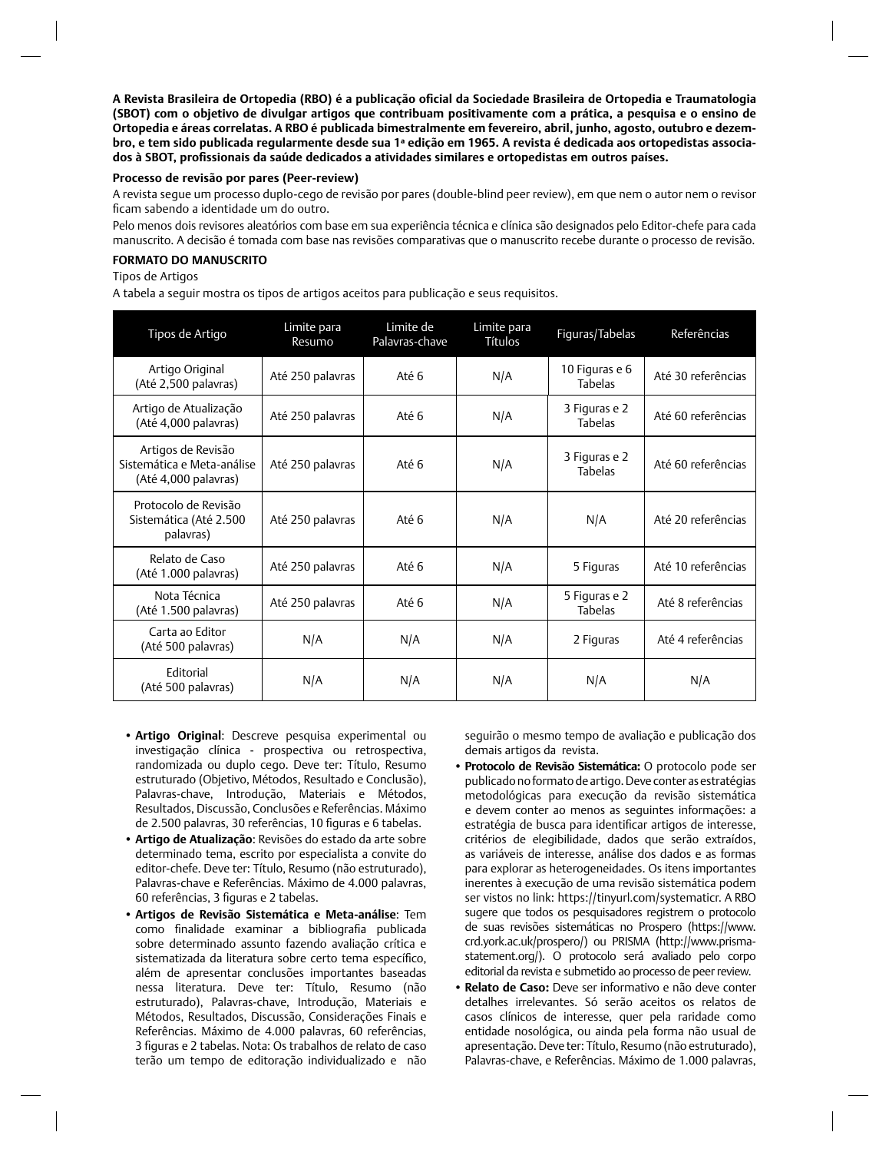A Revista Brasileira de Ortopedia (RBO) é a publicação oficial da Sociedade Brasileira de Ortopedia e Traumatologia **(SBOT) com o objetivo de divulgar artigos que contribuam positivamente com a prática, a pesquisa e o ensino de Ortopedia e áreas correlatas. A RBO é publicada bimestralmente em fevereiro, abril, junho, agosto, outubro e dezembro, e tem sido publicada regularmente desde sua 1ª edição em 1965. A revista é dedicada aos ortopedistas associados à SBOT, profi ssionais da saúde dedicados a atividades similares e ortopedistas em outros países.**

#### **Processo de revisão por pares (Peer-review)**

A revista segue um processo duplo-cego de revisão por pares (double-blind peer review), em que nem o autor nem o revisor ficam sabendo a identidade um do outro.

Pelo menos dois revisores aleatórios com base em sua experiência técnica e clínica são designados pelo Editor-chefe para cada manuscrito. A decisão é tomada com base nas revisões comparativas que o manuscrito recebe durante o processo de revisão.

#### **FORMATO DO MANUSCRITO**

Tipos de Artigos

A tabela a seguir mostra os tipos de artigos aceitos para publicação e seus requisitos.

| Tipos de Artigo                                                          | Limite para<br>Resumo | Limite de<br>Palavras-chave | Limite para<br><b>Títulos</b> | Figuras/Tabelas                  | Referências        |
|--------------------------------------------------------------------------|-----------------------|-----------------------------|-------------------------------|----------------------------------|--------------------|
| Artigo Original<br>(Até 2,500 palavras)                                  | Até 250 palavras      | Até 6                       | N/A                           | 10 Figuras e 6<br><b>Tabelas</b> | Até 30 referências |
| Artigo de Atualização<br>(Até 4,000 palavras)                            | Até 250 palavras      | Até 6                       | N/A                           | 3 Figuras e 2<br>Tabelas         | Até 60 referências |
| Artigos de Revisão<br>Sistemática e Meta-análise<br>(Até 4,000 palavras) | Até 250 palavras      | Até 6                       | N/A                           | 3 Figuras e 2<br><b>Tabelas</b>  | Até 60 referências |
| Protocolo de Revisão<br>Sistemática (Até 2.500<br>palavras)              | Até 250 palavras      | Até 6                       | N/A                           | N/A                              | Até 20 referências |
| Relato de Caso<br>(Até 1.000 palavras)                                   | Até 250 palavras      | Até 6                       | N/A                           | 5 Figuras                        | Até 10 referências |
| Nota Técnica<br>(Até 1.500 palavras)                                     | Até 250 palavras      | Até 6                       | N/A                           | 5 Figuras e 2<br><b>Tabelas</b>  | Até 8 referências  |
| Carta ao Editor<br>(Até 500 palavras)                                    | N/A                   | N/A                         | N/A                           | 2 Figuras                        | Até 4 referências  |
| Editorial<br>(Até 500 palavras)                                          | N/A                   | N/A                         | N/A                           | N/A                              | N/A                |

- **Artigo Original**: Descreve pesquisa experimental ou investigação clínica - prospectiva ou retrospectiva, randomizada ou duplo cego. Deve ter: Título, Resumo estruturado (Objetivo, Métodos, Resultado e Conclusão), Palavras-chave, Introdução, Materiais e Métodos, Resultados, Discussão, Conclusões e Referências. Máximo de 2.500 palavras, 30 referências, 10 figuras e 6 tabelas.
- **Artigo de Atualização**: Revisões do estado da arte sobre determinado tema, escrito por especialista a convite do editor-chefe. Deve ter: Título, Resumo (não estruturado), Palavras-chave e Referências. Máximo de 4.000 palavras, 60 referências, 3 figuras e 2 tabelas.
- **Artigos de Revisão Sistemática e Meta-análise**: Tem como finalidade examinar a bibliografia publicada sobre determinado assunto fazendo avaliação crítica e sistematizada da literatura sobre certo tema específico, além de apresentar conclusões importantes baseadas nessa literatura. Deve ter: Título, Resumo (não estruturado), Palavras-chave, Introdução, Materiais e Métodos, Resultados, Discussão, Considerações Finais e Referências. Máximo de 4.000 palavras, 60 referências, 3 figuras e 2 tabelas. Nota: Os trabalhos de relato de caso terão um tempo de editoração individualizado e não

seguirão o mesmo tempo de avaliação e publicação dos demais artigos da revista.

- **Protocolo de Revisão Sistemática:** O protocolo pode ser publicado no formato de artigo. Deve conter as estratégias metodológicas para execução da revisão sistemática e devem conter ao menos as seguintes informações: a estratégia de busca para identificar artigos de interesse, critérios de elegibilidade, dados que serão extraídos, as variáveis de interesse, análise dos dados e as formas para explorar as heterogeneidades. Os itens importantes inerentes à execução de uma revisão sistemática podem ser vistos no link: https://tinyurl.com/systematicr. A RBO sugere que todos os pesquisadores registrem o protocolo de suas revisões sistemáticas no Prospero (https://www. crd.york.ac.uk/prospero/) ou PRISMA (http://www.prismastatement.org/). O protocolo será avaliado pelo corpo editorial da revista e submetido ao processo de peer review.
- **Relato de Caso:** Deve ser informativo e não deve conter detalhes irrelevantes. Só serão aceitos os relatos de casos clínicos de interesse, quer pela raridade como entidade nosológica, ou ainda pela forma não usual de apresentação. Deve ter: Título, Resumo (não estruturado), Palavras-chave, e Referências. Máximo de 1.000 palavras,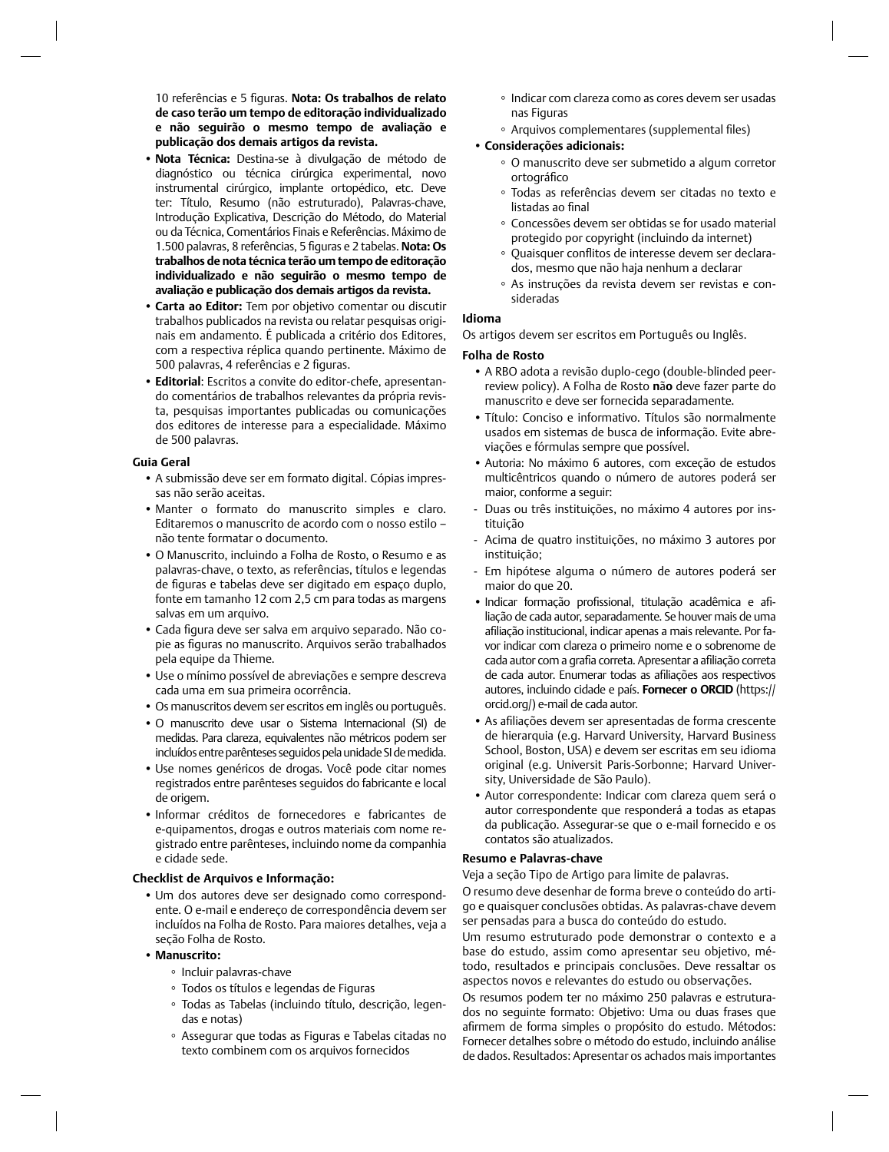10 referências e 5 figuras. Nota: Os trabalhos de relato **de caso terão um tempo de editoração individualizado e não seguirão o mesmo tempo de avaliação e publicação dos demais artigos da revista.**

- **Nota Técnica:** Destina-se à divulgação de método de diagnóstico ou técnica cirúrgica experimental, novo instrumental cirúrgico, implante ortopédico, etc. Deve ter: Título, Resumo (não estruturado), Palavras-chave, Introdução Explicativa, Descrição do Método, do Material ou da Técnica, Comentários Finais e Referências. Máximo de 1.500 palavras, 8 referências, 5 fi guras e 2 tabelas. **Nota: Os trabalhos de nota técnica terão um tempo de editoração individualizado e não seguirão o mesmo tempo de avaliação e publicação dos demais artigos da revista.**
- **Carta ao Editor:** Tem por objetivo comentar ou discutir trabalhos publicados na revista ou relatar pesquisas originais em andamento. É publicada a critério dos Editores, com a respectiva réplica quando pertinente. Máximo de 500 palavras, 4 referências e 2 figuras.
- **Editorial**: Escritos a convite do editor-chefe, apresentando comentários de trabalhos relevantes da própria revista, pesquisas importantes publicadas ou comunicações dos editores de interesse para a especialidade. Máximo de 500 palavras.

#### **Guia Geral**

- A submissão deve ser em formato digital. Cópias impressas não serão aceitas.
- Manter o formato do manuscrito simples e claro. Editaremos o manuscrito de acordo com o nosso estilo – não tente formatar o documento.
- O Manuscrito, incluindo a Folha de Rosto, o Resumo e as palavras-chave, o texto, as referências, títulos e legendas de figuras e tabelas deve ser digitado em espaço duplo, fonte em tamanho 12 com 2,5 cm para todas as margens salvas em um arquivo.
- Cada figura deve ser salva em arquivo separado. Não copie as figuras no manuscrito. Arquivos serão trabalhados pela equipe da Thieme.
- Use o mínimo possível de abreviações e sempre descreva cada uma em sua primeira ocorrência.
- Os manuscritos devem ser escritos em inglês ou português.
- O manuscrito deve usar o Sistema Internacional (SI) de medidas. Para clareza, equivalentes não métricos podem ser incluídos entre parênteses seguidos pela unidade SI de medida.
- Use nomes genéricos de drogas. Você pode citar nomes registrados entre parênteses seguidos do fabricante e local de origem.
- Informar créditos de fornecedores e fabricantes de e-quipamentos, drogas e outros materiais com nome registrado entre parênteses, incluindo nome da companhia e cidade sede.

# **Checklist de Arquivos e Informação:**

• Um dos autores deve ser designado como correspondente. O e-mail e endereço de correspondência devem ser incluídos na Folha de Rosto. Para maiores detalhes, veja a seção Folha de Rosto.

#### **• Manuscrito:**

- Incluir palavras-chave
- Todos os títulos e legendas de Figuras
- Todas as Tabelas (incluindo título, descrição, legendas e notas)
- Assegurar que todas as Figuras e Tabelas citadas no texto combinem com os arquivos fornecidos
- Indicar com clareza como as cores devem ser usadas nas Figuras
- Arquivos complementares (supplemental files)

# • **Considerações adicionais:**

- O manuscrito deve ser submetido a algum corretor ortográfico
- Todas as referências devem ser citadas no texto e listadas ao final
- Concessões devem ser obtidas se for usado material protegido por copyright (incluindo da internet)
- Quaisquer confl itos de interesse devem ser declarados, mesmo que não haja nenhum a declarar
- As instruções da revista devem ser revistas e consideradas

# **Idioma**

Os artigos devem ser escritos em Português ou Inglês.

# **Folha de Rosto**

- A RBO adota a revisão duplo-cego (double-blinded peerreview policy). A Folha de Rosto **n**ã**o** deve fazer parte do manuscrito e deve ser fornecida separadamente.
- Título: Conciso e informativo. Títulos são normalmente usados em sistemas de busca de informação. Evite abreviações e fórmulas sempre que possível.
- Autoria: No máximo 6 autores, com exceção de estudos multicêntricos quando o número de autores poderá ser maior, conforme a seguir:
- Duas ou três instituições, no máximo 4 autores por instituição
- Acima de quatro instituições, no máximo 3 autores por instituição;
- Em hipótese alguma o número de autores poderá ser maior do que 20.
- Indicar formação profissional, titulação acadêmica e afiliação de cada autor, separadamente. Se houver mais de uma afiliação institucional, indicar apenas a mais relevante. Por favor indicar com clareza o primeiro nome e o sobrenome de cada autor com a grafia correta. Apresentar a afiliação correta de cada autor. Enumerar todas as afiliações aos respectivos autores, incluindo cidade e país. **Fornecer o ORCID** (https:// orcid.org/) e-mail de cada autor.
- As afiliações devem ser apresentadas de forma crescente de hierarquia (e.g. Harvard University, Harvard Business School, Boston, USA) e devem ser escritas em seu idioma original (e.g. Universit Paris-Sorbonne; Harvard University, Universidade de São Paulo).
- Autor correspondente: Indicar com clareza quem será o autor correspondente que responderá a todas as etapas da publicação. Assegurar-se que o e-mail fornecido e os contatos são atualizados.

# **Resumo e Palavras-chave**

Veja a seção Tipo de Artigo para limite de palavras.

O resumo deve desenhar de forma breve o conteúdo do artigo e quaisquer conclusões obtidas. As palavras-chave devem ser pensadas para a busca do conteúdo do estudo.

Um resumo estruturado pode demonstrar o contexto e a base do estudo, assim como apresentar seu objetivo, método, resultados e principais conclusões. Deve ressaltar os aspectos novos e relevantes do estudo ou observações.

Os resumos podem ter no máximo 250 palavras e estruturados no seguinte formato: Objetivo: Uma ou duas frases que afirmem de forma simples o propósito do estudo. Métodos: Fornecer detalhes sobre o método do estudo, incluindo análise de dados. Resultados: Apresentar os achados mais importantes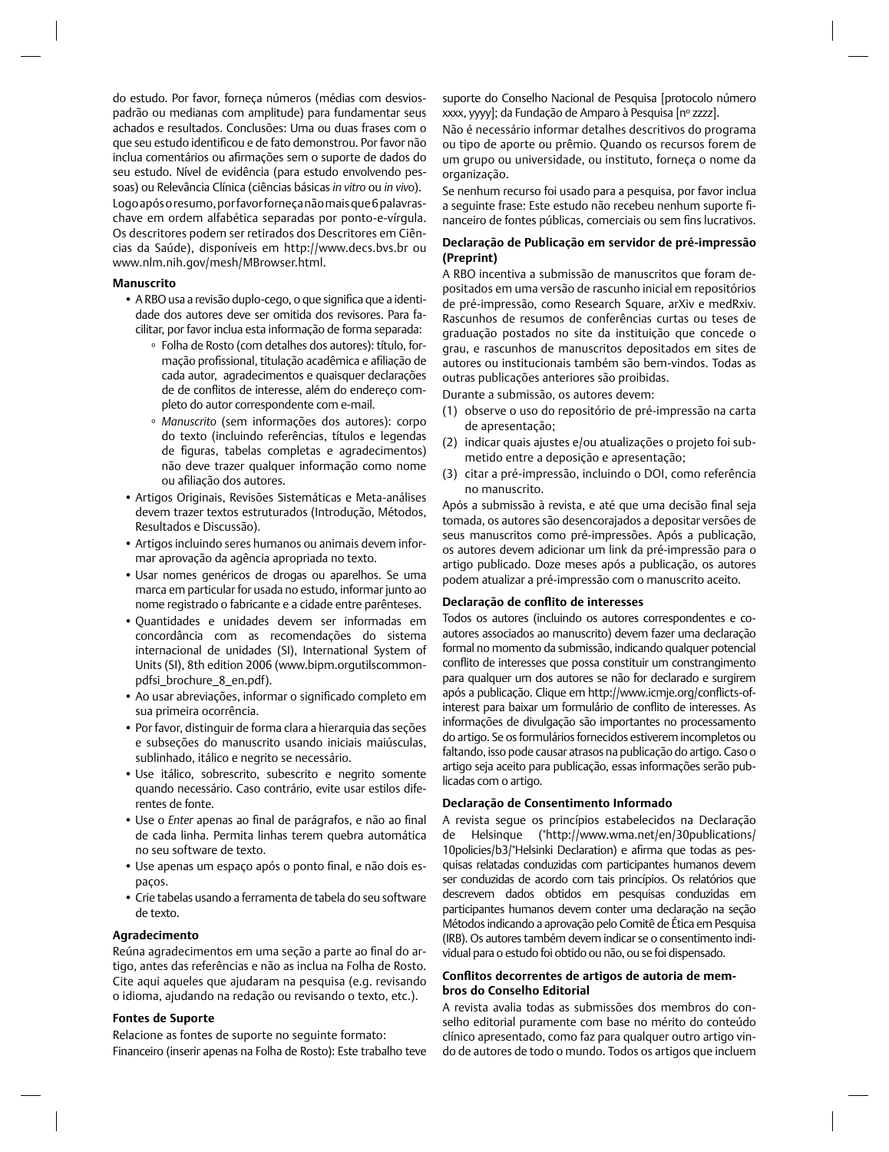do estudo. Por favor, forneça números (médias com desviospadrão ou medianas com amplitude) para fundamentar seus achados e resultados. Conclusões: Uma ou duas frases com o que seu estudo identificou e de fato demonstrou. Por favor não inclua comentários ou afirmações sem o suporte de dados do seu estudo. Nível de evidência (para estudo envolvendo pessoas) ou Relevância Clínica (ciências básicas *in vitro* ou *in vivo*).

Logo após o resumo, por favor forneça não mais que 6 palavraschave em ordem alfabética separadas por ponto-e-vírgula. Os descritores podem ser retirados dos Descritores em Ciências da Saúde), disponíveis em http://www.decs.bvs.br ou www.nlm.nih.gov/mesh/MBrowser.html.

# **Manuscrito**

- A RBO usa a revisão duplo-cego, o que significa que a identidade dos autores deve ser omitida dos revisores. Para facilitar, por favor inclua esta informação de forma separada:
	- Folha de Rosto (com detalhes dos autores): título, formação profissional, titulação acadêmica e afiliação de cada autor, agradecimentos e quaisquer declarações de de conflitos de interesse, além do endereço completo do autor correspondente com e-mail.
	- *Manuscrito* (sem informações dos autores): corpo do texto (incluindo referências, títulos e legendas de figuras, tabelas completas e agradecimentos) não deve trazer qualquer informação como nome ou afiliação dos autores.
- Artigos Originais, Revisões Sistemáticas e Meta-análises devem trazer textos estruturados (Introdução, Métodos, Resultados e Discussão).
- Artigos incluindo seres humanos ou animais devem informar aprovação da agência apropriada no texto.
- Usar nomes genéricos de drogas ou aparelhos. Se uma marca em particular for usada no estudo, informar junto ao nome registrado o fabricante e a cidade entre parênteses.
- Quantidades e unidades devem ser informadas em concordância com as recomendações do sistema internacional de unidades (SI), International System of Units (SI), 8th edition 2006 (www.bipm.orgutilscommonpdfsi\_brochure\_8\_en.pdf).
- Ao usar abreviações, informar o significado completo em sua primeira ocorrência.
- Por favor, distinguir de forma clara a hierarquia das seções e subseções do manuscrito usando iniciais maiúsculas, sublinhado, itálico e negrito se necessário.
- Use itálico, sobrescrito, subescrito e negrito somente quando necessário. Caso contrário, evite usar estilos diferentes de fonte.
- Use o *Enter* apenas ao final de parágrafos, e não ao final de cada linha. Permita linhas terem quebra automática no seu software de texto.
- Use apenas um espaço após o ponto final, e não dois espaços.
- Crie tabelas usando a ferramenta de tabela do seu software de texto.

#### **Agradecimento**

Reúna agradecimentos em uma seção a parte ao final do artigo, antes das referências e não as inclua na Folha de Rosto. Cite aqui aqueles que ajudaram na pesquisa (e.g. revisando o idioma, ajudando na redação ou revisando o texto, etc.).

# **Fontes de Suporte**

Relacione as fontes de suporte no seguinte formato: Financeiro (inserir apenas na Folha de Rosto): Este trabalho teve suporte do Conselho Nacional de Pesquisa [protocolo número xxxx, yyyy]; da Fundação de Amparo à Pesquisa [nº zzzz].

Não é necessário informar detalhes descritivos do programa ou tipo de aporte ou prêmio. Quando os recursos forem de um grupo ou universidade, ou instituto, forneça o nome da organização.

Se nenhum recurso foi usado para a pesquisa, por favor inclua a sequinte frase: Este estudo não recebeu nenhum suporte financeiro de fontes públicas, comerciais ou sem fins lucrativos.

# **Declaração de Publicação em servidor de pré-impressão (Preprint)**

A RBO incentiva a submissão de manuscritos que foram depositados em uma versão de rascunho inicial em repositórios de pré-impressão, como Research Square, arXiv e medRxiv. Rascunhos de resumos de conferências curtas ou teses de graduação postados no site da instituição que concede o grau, e rascunhos de manuscritos depositados em sites de autores ou institucionais também são bem-vindos. Todas as outras publicações anteriores são proibidas.

Durante a submissão, os autores devem:

- (1) observe o uso do repositório de pré-impressão na carta de apresentação;
- (2) indicar quais ajustes e/ou atualizações o projeto foi submetido entre a deposição e apresentação;
- (3) citar a pré-impressão, incluindo o DOI, como referência no manuscrito.

Após a submissão à revista, e até que uma decisão final seja tomada, os autores são desencorajados a depositar versões de seus manuscritos como pré-impressões. Após a publicação, os autores devem adicionar um link da pré-impressão para o artigo publicado. Doze meses após a publicação, os autores podem atualizar a pré-impressão com o manuscrito aceito.

#### **Declaração de confl ito de interesses**

Todos os autores (incluindo os autores correspondentes e coautores associados ao manuscrito) devem fazer uma declaração formal no momento da submissão, indicando qualquer potencial conflito de interesses que possa constituir um constrangimento para qualquer um dos autores se não for declarado e surgirem após a publicação. Clique em http://www.icmje.org/conflicts-ofinterest para baixar um formulário de conflito de interesses. As informações de divulgação são importantes no processamento do artigo. Se os formulários fornecidos estiverem incompletos ou faltando, isso pode causar atrasos na publicação do artigo. Caso o artigo seja aceito para publicação, essas informações serão publicadas com o artigo.

# **Declaração de Consentimento Informado**

A revista segue os princípios estabelecidos na Declaração de Helsinque ("http://www.wma.net/en/30publications/ 10policies/b3/"Helsinki Declaration) e afirma que todas as pesquisas relatadas conduzidas com participantes humanos devem ser conduzidas de acordo com tais princípios. Os relatórios que descrevem dados obtidos em pesquisas conduzidas em participantes humanos devem conter uma declaração na seção Métodos indicando a aprovação pelo Comitê de Ética em Pesquisa (IRB). Os autores também devem indicar se o consentimento individual para o estudo foi obtido ou não, ou se foi dispensado.

# Conflitos decorrentes de artigos de autoria de mem**bros do Conselho Editorial**

A revista avalia todas as submissões dos membros do conselho editorial puramente com base no mérito do conteúdo clínico apresentado, como faz para qualquer outro artigo vindo de autores de todo o mundo. Todos os artigos que incluem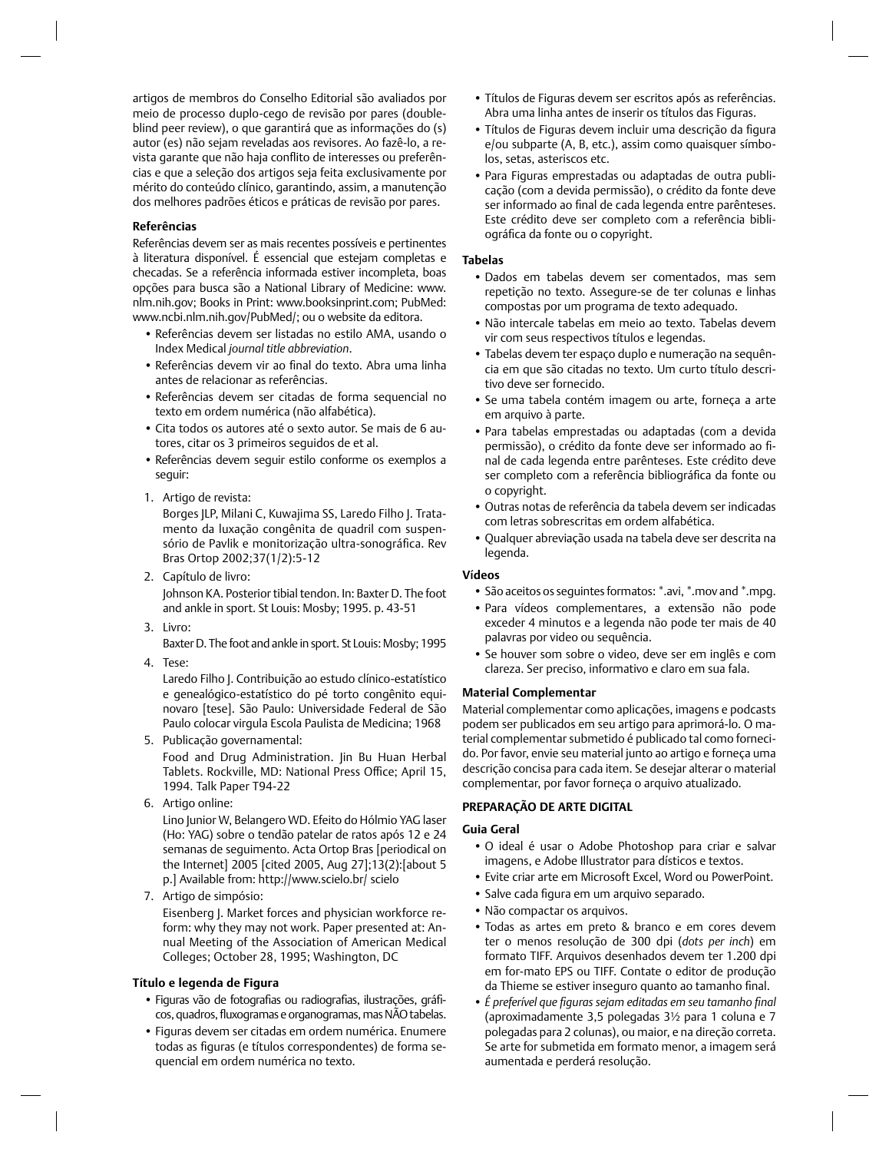artigos de membros do Conselho Editorial são avaliados por meio de processo duplo-cego de revisão por pares (doubleblind peer review), o que garantirá que as informações do (s) autor (es) não sejam reveladas aos revisores. Ao fazê-lo, a revista garante que não haja conflito de interesses ou preferências e que a seleção dos artigos seja feita exclusivamente por mérito do conteúdo clínico, garantindo, assim, a manutenção dos melhores padrões éticos e práticas de revisão por pares.

# **Referências**

Referências devem ser as mais recentes possíveis e pertinentes à literatura disponível. É essencial que estejam completas e checadas. Se a referência informada estiver incompleta, boas opções para busca são a National Library of Medicine: www. nlm.nih.gov; Books in Print: www.booksinprint.com; PubMed: www.ncbi.nlm.nih.gov/PubMed/; ou o website da editora.

- Referências devem ser listadas no estilo AMA, usando o Index Medical *journal title abbreviation*.
- Referências devem vir ao final do texto. Abra uma linha antes de relacionar as referências.
- Referências devem ser citadas de forma sequencial no texto em ordem numérica (não alfabética).
- Cita todos os autores até o sexto autor. Se mais de 6 autores, citar os 3 primeiros seguidos de et al.
- Referências devem seguir estilo conforme os exemplos a seguir:
- 1. Artigo de revista:

Borges JLP, Milani C, Kuwajima SS, Laredo Filho J. Tratamento da luxação congênita de quadril com suspensório de Pavlik e monitorização ultra-sonográfica. Rev Bras Ortop 2002;37(1/2):5-12

- 2. Capítulo de livro: Johnson KA. Posterior tibial tendon. In: Baxter D. The foot and ankle in sport. St Louis: Mosby; 1995. p. 43-51
- 3. Livro:
- Baxter D. The foot and ankle in sport. St Louis: Mosby; 1995
- 4. Tese:

Laredo Filho J. Contribuição ao estudo clínico-estatístico e genealógico-estatístico do pé torto congênito equinovaro [tese]. São Paulo: Universidade Federal de São Paulo colocar virgula Escola Paulista de Medicina; 1968

- 5. Publicação governamental: Food and Drug Administration. Jin Bu Huan Herbal Tablets. Rockville, MD: National Press Office; April 15, 1994. Talk Paper T94-22
- 6. Artigo online:

Lino Junior W, Belangero WD. Efeito do Hólmio YAG laser (Ho: YAG) sobre o tendão patelar de ratos após 12 e 24 semanas de seguimento. Acta Ortop Bras [periodical on the Internet] 2005 [cited 2005, Aug 27];13(2):[about 5 p.] Available from: http://www.scielo.br/ scielo

7. Artigo de simpósio:

Eisenberg J. Market forces and physician workforce reform: why they may not work. Paper presented at: Annual Meeting of the Association of American Medical Colleges; October 28, 1995; Washington, DC

# **Título e legenda de Figura**

- Figuras vão de fotografias ou radiografias, ilustrações, gráficos, quadros, fluxogramas e organogramas, mas NÃO tabelas.
- Figuras devem ser citadas em ordem numérica. Enumere todas as figuras (e títulos correspondentes) de forma sequencial em ordem numérica no texto.
- Títulos de Figuras devem ser escritos após as referências. Abra uma linha antes de inserir os títulos das Figuras.
- Títulos de Figuras devem incluir uma descrição da figura e/ou subparte (A, B, etc.), assim como quaisquer símbolos, setas, asteriscos etc.
- Para Figuras emprestadas ou adaptadas de outra publicação (com a devida permissão), o crédito da fonte deve ser informado ao final de cada legenda entre parênteses. Este crédito deve ser completo com a referência bibliográfica da fonte ou o copyright.

# **Tabelas**

- Dados em tabelas devem ser comentados, mas sem repetição no texto. Assegure-se de ter colunas e linhas compostas por um programa de texto adequado.
- Não intercale tabelas em meio ao texto. Tabelas devem vir com seus respectivos títulos e legendas.
- Tabelas devem ter espaço duplo e numeração na sequência em que são citadas no texto. Um curto título descritivo deve ser fornecido.
- Se uma tabela contém imagem ou arte, forneça a arte em arquivo à parte.
- Para tabelas emprestadas ou adaptadas (com a devida permissão), o crédito da fonte deve ser informado ao final de cada legenda entre parênteses. Este crédito deve ser completo com a referência bibliográfica da fonte ou o copyright.
- Outras notas de referência da tabela devem ser indicadas com letras sobrescritas em ordem alfabética.
- Qualquer abreviação usada na tabela deve ser descrita na legenda.

#### **V**í**deos**

- São aceitos os seguintes formatos: \*.avi, \*.mov and \*.mpg.
- Para vídeos complementares, a extensão não pode exceder 4 minutos e a legenda não pode ter mais de 40 palavras por video ou sequência.
- Se houver som sobre o video, deve ser em inglês e com clareza. Ser preciso, informativo e claro em sua fala.

# **Material Complementar**

Material complementar como aplicações, imagens e podcasts podem ser publicados em seu artigo para aprimorá-lo. O material complementar submetido é publicado tal como fornecido. Por favor, envie seu material junto ao artigo e forneça uma descrição concisa para cada item. Se desejar alterar o material complementar, por favor forneça o arquivo atualizado.

# **PREPARAÇÃO DE ARTE DIGITAL**

# **Guia Geral**

- O ideal é usar o Adobe Photoshop para criar e salvar imagens, e Adobe Illustrator para dísticos e textos.
- Evite criar arte em Microsoft Excel, Word ou PowerPoint.
- Salve cada figura em um arquivo separado.
- Não compactar os arquivos.
- Todas as artes em preto & branco e em cores devem ter o menos resolução de 300 dpi (*dots per inch*) em formato TIFF. Arquivos desenhados devem ter 1.200 dpi em for-mato EPS ou TIFF. Contate o editor de produção da Thieme se estiver inseguro quanto ao tamanho final.
- É preferível que figuras sejam editadas em seu tamanho final (aproximadamente 3,5 polegadas 3½ para 1 coluna e 7 polegadas para 2 colunas), ou maior, e na direção correta. Se arte for submetida em formato menor, a imagem será aumentada e perderá resolução.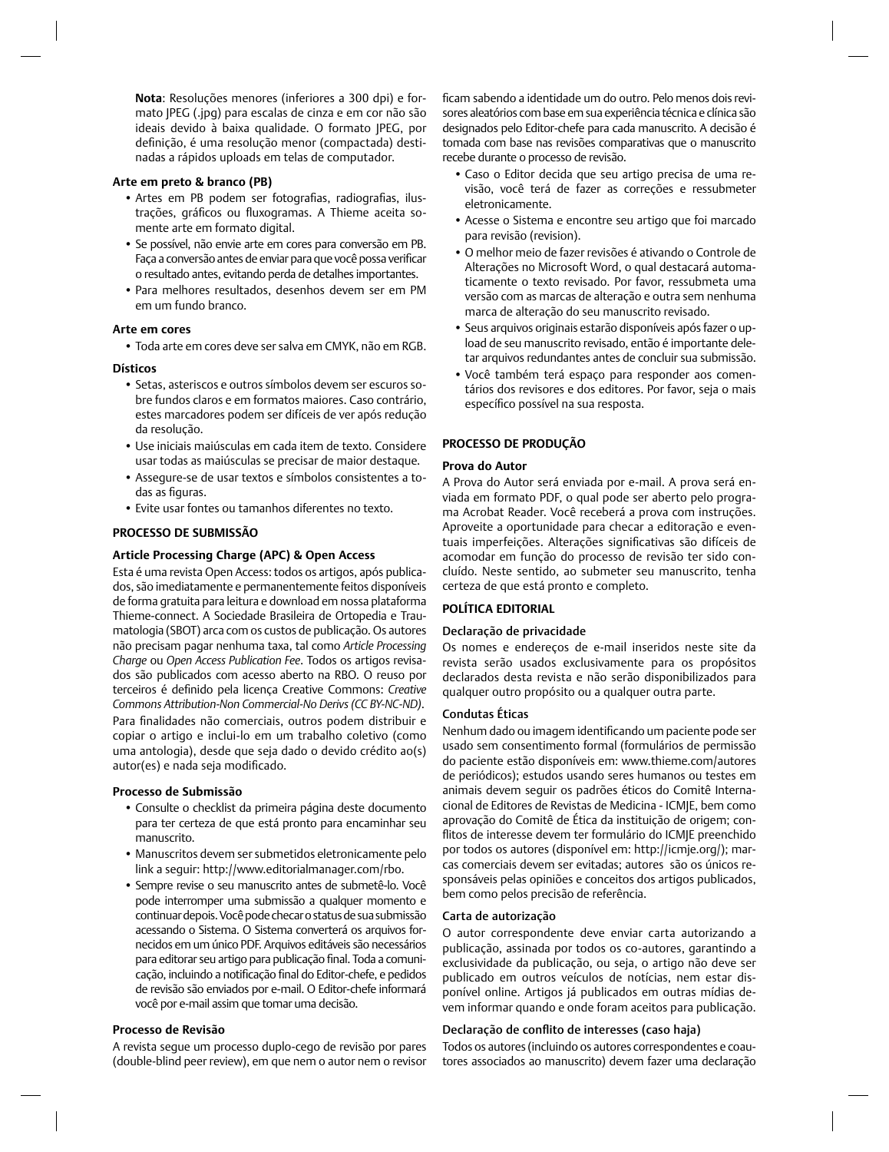**Nota**: Resoluções menores (inferiores a 300 dpi) e formato JPEG (.jpg) para escalas de cinza e em cor não são ideais devido à baixa qualidade. O formato JPEG, por definição, é uma resolução menor (compactada) destinadas a rápidos uploads em telas de computador.

#### **Arte em preto & branco (PB)**

- Artes em PB podem ser fotografias, radiografias, ilustrações, gráficos ou fluxogramas. A Thieme aceita somente arte em formato digital.
- Se possível, não envie arte em cores para conversão em PB. Faça a conversão antes de enviar para que você possa verificar o resultado antes, evitando perda de detalhes importantes.
- Para melhores resultados, desenhos devem ser em PM em um fundo branco.

#### **Arte em cores**

• Toda arte em cores deve ser salva em CMYK, não em RGB.

#### **Dísticos**

- Setas, asteriscos e outros símbolos devem ser escuros sobre fundos claros e em formatos maiores. Caso contrário, estes marcadores podem ser difíceis de ver após redução da resolução.
- Use iniciais maiúsculas em cada item de texto. Considere usar todas as maiúsculas se precisar de maior destaque.
- Assegure-se de usar textos e símbolos consistentes a todas as figuras.
- Evite usar fontes ou tamanhos diferentes no texto.

#### **PROCESSO DE SUBMISSÃO**

# **Article Processing Charge (APC) & Open Access**

Esta é uma revista Open Access: todos os artigos, após publicados, são imediatamente e permanentemente feitos disponíveis de forma gratuita para leitura e download em nossa plataforma Thieme-connect. A Sociedade Brasileira de Ortopedia e Traumatologia (SBOT) arca com os custos de publicação. Os autores não precisam pagar nenhuma taxa, tal como *Article Processing Charge* ou *Open Access Publication Fee*. Todos os artigos revisados são publicados com acesso aberto na RBO. O reuso por terceiros é definido pela licença Creative Commons: Creative *Commons Attribution-Non Commercial-No Derivs (CC BY-NC-ND)*. Para finalidades não comerciais, outros podem distribuir e copiar o artigo e inclui-lo em um trabalho coletivo (como uma antologia), desde que seja dado o devido crédito ao(s) autor(es) e nada seja modificado.

#### **Processo de Submissão**

- Consulte o checklist da primeira página deste documento para ter certeza de que está pronto para encaminhar seu manuscrito.
- Manuscritos devem ser submetidos eletronicamente pelo link a seguir: http://www.editorialmanager.com/rbo.
- Sempre revise o seu manuscrito antes de submetê-lo. Você pode interromper uma submissão a qualquer momento e continuar depois. Você pode checar o status de sua submissão acessando o Sistema. O Sistema converterá os arquivos fornecidos em um único PDF. Arquivos editáveis são necessários para editorar seu artigo para publicação final. Toda a comunicação, incluindo a notificação final do Editor-chefe, e pedidos de revisão são enviados por e-mail. O Editor-chefe informará você por e-mail assim que tomar uma decisão.

# **Processo de Revisão**

A revista segue um processo duplo-cego de revisão por pares (double-blind peer review), em que nem o autor nem o revisor

ficam sabendo a identidade um do outro. Pelo menos dois revisores aleatórios com base em sua experiência técnica e clínica são designados pelo Editor-chefe para cada manuscrito. A decisão é tomada com base nas revisões comparativas que o manuscrito recebe durante o processo de revisão.

- Caso o Editor decida que seu artigo precisa de uma revisão, você terá de fazer as correções e ressubmeter eletronicamente.
- Acesse o Sistema e encontre seu artigo que foi marcado para revisão (revision).
- O melhor meio de fazer revisões é ativando o Controle de Alterações no Microsoft Word, o qual destacará automaticamente o texto revisado. Por favor, ressubmeta uma versão com as marcas de alteração e outra sem nenhuma marca de alteração do seu manuscrito revisado.
- Seus arquivos originais estarão disponíveis após fazer o upload de seu manuscrito revisado, então é importante deletar arquivos redundantes antes de concluir sua submissão.
- Você também terá espaço para responder aos comentários dos revisores e dos editores. Por favor, seja o mais específico possível na sua resposta.

#### **PROCESSO DE PRODUÇÃO**

#### **Prova do Autor**

A Prova do Autor será enviada por e-mail. A prova será enviada em formato PDF, o qual pode ser aberto pelo programa Acrobat Reader. Você receberá a prova com instruções. Aproveite a oportunidade para checar a editoração e eventuais imperfeições. Alterações significativas são difíceis de acomodar em função do processo de revisão ter sido concluído. Neste sentido, ao submeter seu manuscrito, tenha certeza de que está pronto e completo.

#### **POLÍTICA EDITORIAL**

#### Declaração de privacidade

Os nomes e endereços de e-mail inseridos neste site da revista serão usados exclusivamente para os propósitos declarados desta revista e não serão disponibilizados para qualquer outro propósito ou a qualquer outra parte.

# Condutas Éticas

Nenhum dado ou imagem identificando um paciente pode ser usado sem consentimento formal (formulários de permissão do paciente estão disponíveis em: www.thieme.com/autores de periódicos); estudos usando seres humanos ou testes em animais devem seguir os padrões éticos do Comitê Internacional de Editores de Revistas de Medicina - ICMJE, bem como aprovação do Comitê de Ética da instituição de origem; conflitos de interesse devem ter formulário do ICMJE preenchido por todos os autores (disponível em: http://icmje.org/); marcas comerciais devem ser evitadas; autores são os únicos responsáveis pelas opiniões e conceitos dos artigos publicados, bem como pelos precisão de referência.

#### Carta de autorização

O autor correspondente deve enviar carta autorizando a publicação, assinada por todos os co-autores, garantindo a exclusividade da publicação, ou seja, o artigo não deve ser publicado em outros veículos de notícias, nem estar disponível online. Artigos já publicados em outras mídias devem informar quando e onde foram aceitos para publicação.

#### Declaração de conflito de interesses (caso haja)

Todos os autores (incluindo os autores correspondentes e coautores associados ao manuscrito) devem fazer uma declaração